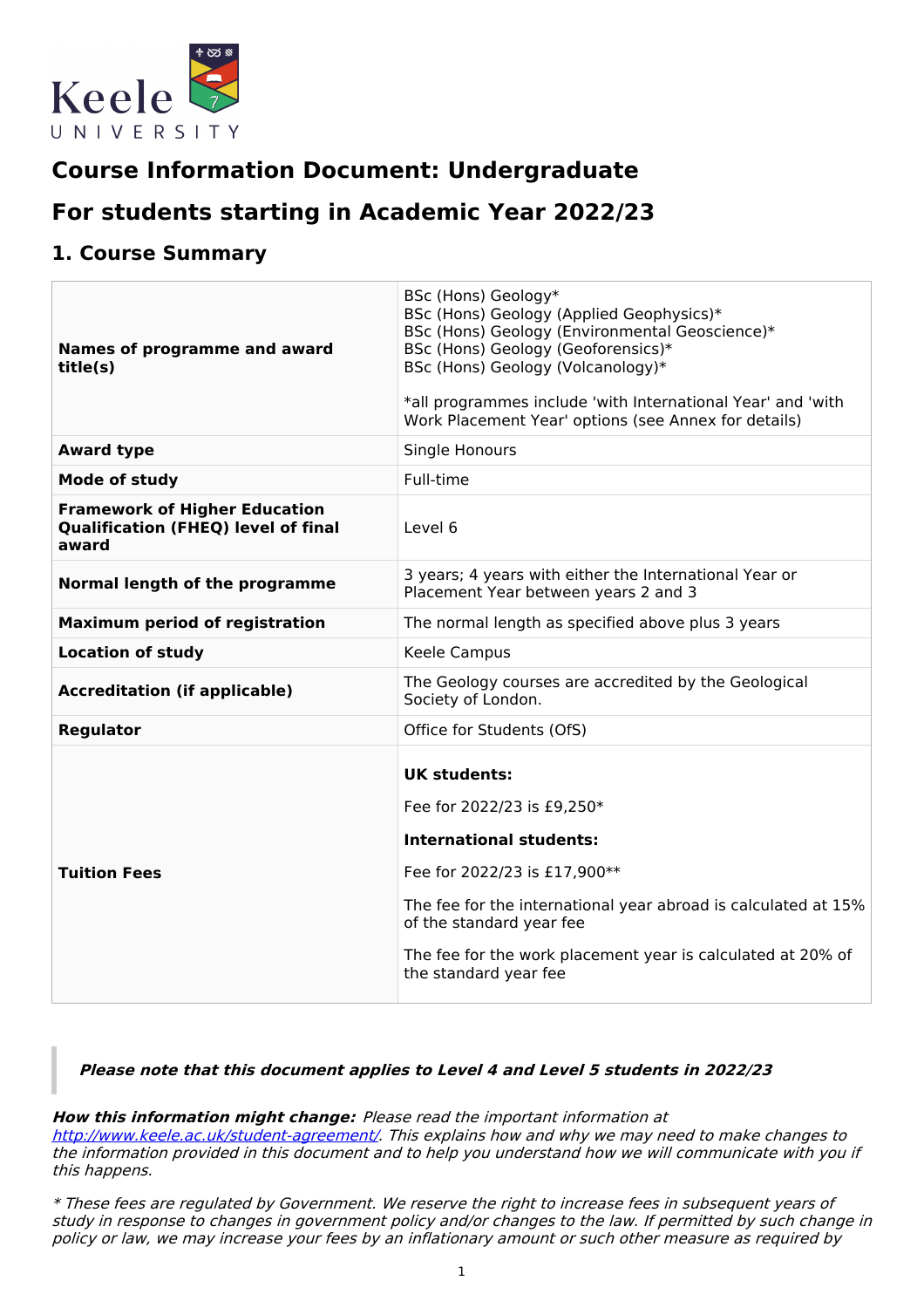

# **Course Information Document: Undergraduate**

# **For students starting in Academic Year 2022/23**

## **1. Course Summary**

| Names of programme and award<br>title(s)                                                    | BSc (Hons) Geology*<br>BSc (Hons) Geology (Applied Geophysics)*<br>BSc (Hons) Geology (Environmental Geoscience)*<br>BSc (Hons) Geology (Geoforensics)*<br>BSc (Hons) Geology (Volcanology)*<br>*all programmes include 'with International Year' and 'with<br>Work Placement Year' options (see Annex for details) |
|---------------------------------------------------------------------------------------------|---------------------------------------------------------------------------------------------------------------------------------------------------------------------------------------------------------------------------------------------------------------------------------------------------------------------|
| <b>Award type</b>                                                                           | Single Honours                                                                                                                                                                                                                                                                                                      |
| Mode of study                                                                               | Full-time                                                                                                                                                                                                                                                                                                           |
| <b>Framework of Higher Education</b><br><b>Qualification (FHEQ) level of final</b><br>award | Level 6                                                                                                                                                                                                                                                                                                             |
| Normal length of the programme                                                              | 3 years; 4 years with either the International Year or<br>Placement Year between years 2 and 3                                                                                                                                                                                                                      |
| <b>Maximum period of registration</b>                                                       | The normal length as specified above plus 3 years                                                                                                                                                                                                                                                                   |
| <b>Location of study</b>                                                                    | Keele Campus                                                                                                                                                                                                                                                                                                        |
| <b>Accreditation (if applicable)</b>                                                        | The Geology courses are accredited by the Geological<br>Society of London.                                                                                                                                                                                                                                          |
| <b>Regulator</b>                                                                            | Office for Students (OfS)                                                                                                                                                                                                                                                                                           |
| <b>Tuition Fees</b>                                                                         | <b>UK students:</b><br>Fee for 2022/23 is £9,250*<br><b>International students:</b><br>Fee for 2022/23 is £17,900**<br>The fee for the international year abroad is calculated at 15%<br>of the standard year fee<br>The fee for the work placement year is calculated at 20% of<br>the standard year fee           |

**Please note that this document applies to Level 4 and Level 5 students in 2022/23**

**How this information might change:** Please read the important information at

<http://www.keele.ac.uk/student-agreement/>. This explains how and why we may need to make changes to the information provided in this document and to help you understand how we will communicate with you if this happens.

\* These fees are regulated by Government. We reserve the right to increase fees in subsequent years of study in response to changes in government policy and/or changes to the law. If permitted by such change in policy or law, we may increase your fees by an inflationary amount or such other measure as required by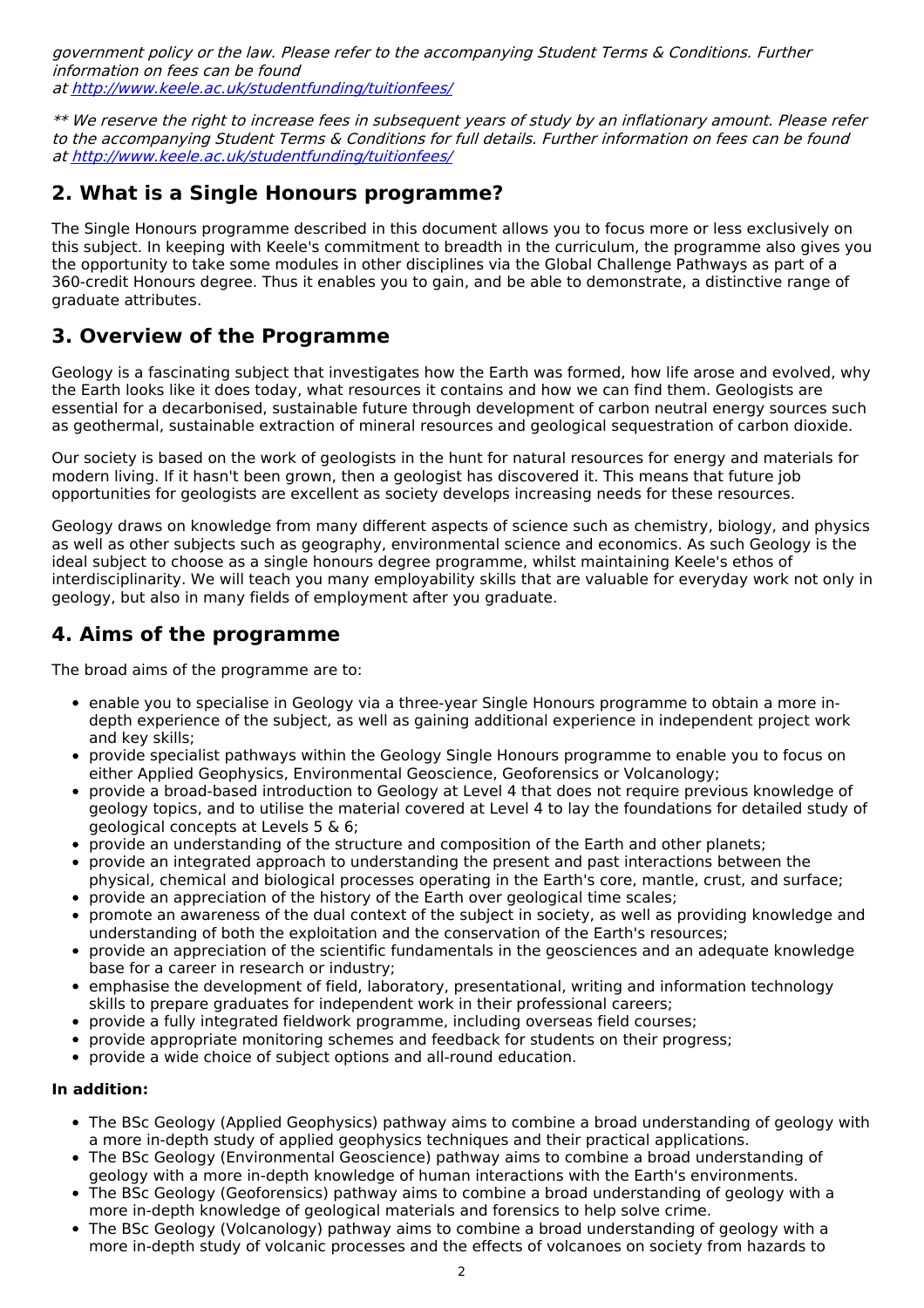government policy or the law. Please refer to the accompanying Student Terms & Conditions. Further information on fees can be found at <http://www.keele.ac.uk/studentfunding/tuitionfees/>

\*\* We reserve the right to increase fees in subsequent years of study by an inflationary amount. Please refer to the accompanying Student Terms & Conditions for full details. Further information on fees can be found at <http://www.keele.ac.uk/studentfunding/tuitionfees/>

## **2. What is a Single Honours programme?**

The Single Honours programme described in this document allows you to focus more or less exclusively on this subject. In keeping with Keele's commitment to breadth in the curriculum, the programme also gives you the opportunity to take some modules in other disciplines via the Global Challenge Pathways as part of a 360-credit Honours degree. Thus it enables you to gain, and be able to demonstrate, a distinctive range of graduate attributes.

## **3. Overview of the Programme**

Geology is a fascinating subject that investigates how the Earth was formed, how life arose and evolved, why the Earth looks like it does today, what resources it contains and how we can find them. Geologists are essential for a decarbonised, sustainable future through development of carbon neutral energy sources such as geothermal, sustainable extraction of mineral resources and geological sequestration of carbon dioxide.

Our society is based on the work of geologists in the hunt for natural resources for energy and materials for modern living. If it hasn't been grown, then a geologist has discovered it. This means that future job opportunities for geologists are excellent as society develops increasing needs for these resources.

Geology draws on knowledge from many different aspects of science such as chemistry, biology, and physics as well as other subjects such as geography, environmental science and economics. As such Geology is the ideal subject to choose as a single honours degree programme, whilst maintaining Keele's ethos of interdisciplinarity. We will teach you many employability skills that are valuable for everyday work not only in geology, but also in many fields of employment after you graduate.

## **4. Aims of the programme**

The broad aims of the programme are to:

- enable you to specialise in Geology via a three-year Single Honours programme to obtain a more indepth experience of the subject, as well as gaining additional experience in independent project work and key skills;
- provide specialist pathways within the Geology Single Honours programme to enable you to focus on either Applied Geophysics, Environmental Geoscience, Geoforensics or Volcanology;
- provide a broad-based introduction to Geology at Level 4 that does not require previous knowledge of geology topics, and to utilise the material covered at Level 4 to lay the foundations for detailed study of geological concepts at Levels 5 & 6;
- provide an understanding of the structure and composition of the Earth and other planets;
- provide an integrated approach to understanding the present and past interactions between the physical, chemical and biological processes operating in the Earth's core, mantle, crust, and surface;
- provide an appreciation of the history of the Earth over geological time scales;
- promote an awareness of the dual context of the subject in society, as well as providing knowledge and  $\bullet$ understanding of both the exploitation and the conservation of the Earth's resources;
- provide an appreciation of the scientific fundamentals in the geosciences and an adequate knowledge base for a career in research or industry;
- emphasise the development of field, laboratory, presentational, writing and information technology skills to prepare graduates for independent work in their professional careers;
- provide a fully integrated fieldwork programme, including overseas field courses;
- provide appropriate monitoring schemes and feedback for students on their progress;
- $\bullet$ provide a wide choice of subject options and all-round education.

#### **In addition:**

- The BSc Geology (Applied Geophysics) pathway aims to combine a broad understanding of geology with a more in-depth study of applied geophysics techniques and their practical applications.
- The BSc Geology (Environmental Geoscience) pathway aims to combine a broad understanding of geology with a more in-depth knowledge of human interactions with the Earth's environments.
- The BSc Geology (Geoforensics) pathway aims to combine a broad understanding of geology with a more in-depth knowledge of geological materials and forensics to help solve crime.
- The BSc Geology (Volcanology) pathway aims to combine a broad understanding of geology with a more in-depth study of volcanic processes and the effects of volcanoes on society from hazards to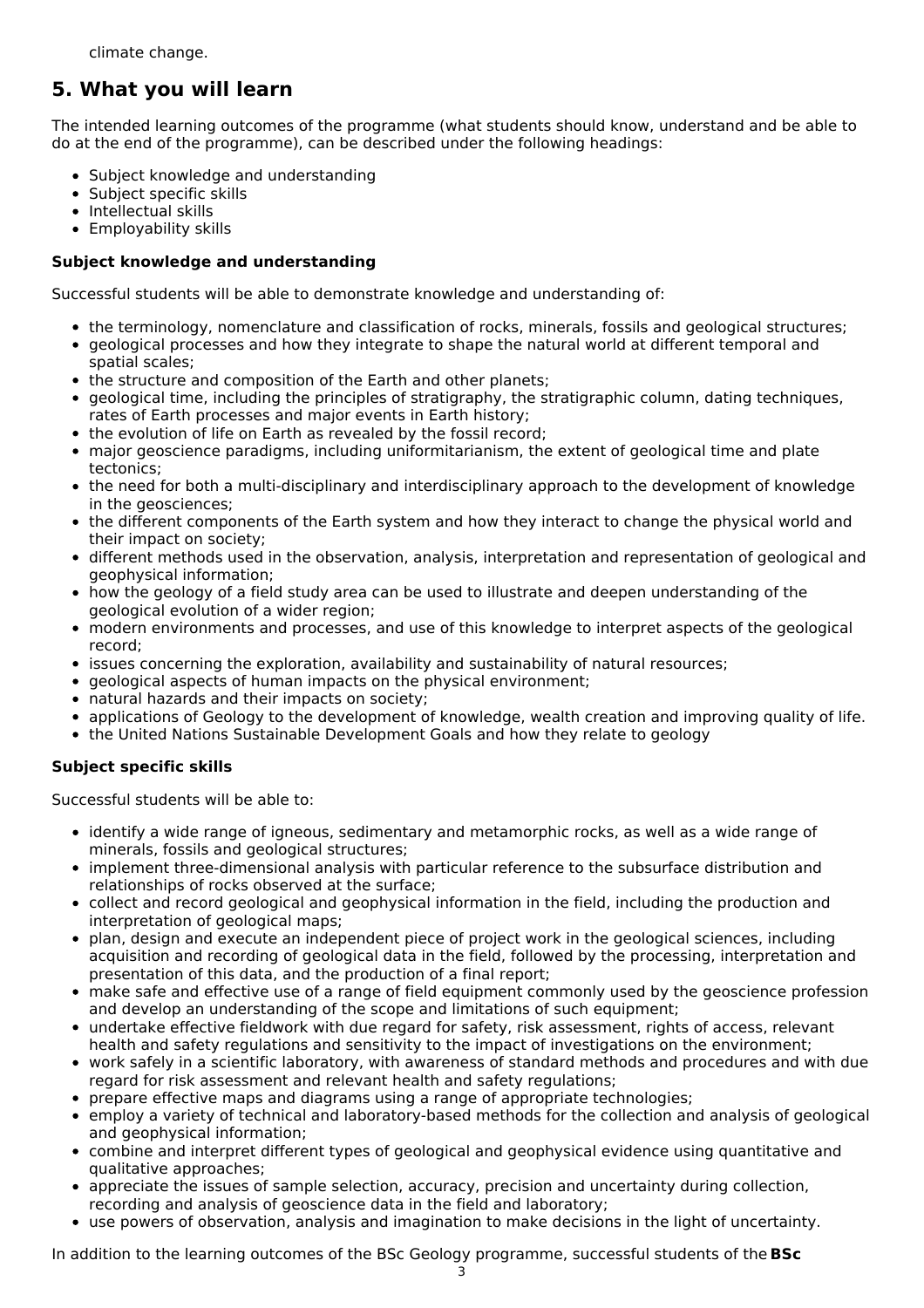climate change.

## **5. What you will learn**

The intended learning outcomes of the programme (what students should know, understand and be able to do at the end of the programme), can be described under the following headings:

- Subject knowledge and understanding
- Subject specific skills
- Intellectual skills
- Employability skills

## **Subject knowledge and understanding**

Successful students will be able to demonstrate knowledge and understanding of:

- the terminology, nomenclature and classification of rocks, minerals, fossils and geological structures;
- geological processes and how they integrate to shape the natural world at different temporal and
- spatial scales; • the structure and composition of the Earth and other planets;
- geological time, including the principles of stratigraphy, the stratigraphic column, dating techniques, rates of Earth processes and major events in Earth history;
- the evolution of life on Earth as revealed by the fossil record;
- major geoscience paradigms, including uniformitarianism, the extent of geological time and plate tectonics;
- the need for both a multi-disciplinary and interdisciplinary approach to the development of knowledge in the geosciences;
- the different components of the Earth system and how they interact to change the physical world and their impact on society;
- different methods used in the observation, analysis, interpretation and representation of geological and geophysical information;
- how the geology of a field study area can be used to illustrate and deepen understanding of the geological evolution of a wider region;
- modern environments and processes, and use of this knowledge to interpret aspects of the geological record;
- issues concerning the exploration, availability and sustainability of natural resources;
- geological aspects of human impacts on the physical environment;
- natural hazards and their impacts on society;
- applications of Geology to the development of knowledge, wealth creation and improving quality of life.
- the United Nations Sustainable Development Goals and how they relate to geology

## **Subject specific skills**

Successful students will be able to:

- identify a wide range of igneous, sedimentary and metamorphic rocks, as well as a wide range of minerals, fossils and geological structures;
- implement three-dimensional analysis with particular reference to the subsurface distribution and relationships of rocks observed at the surface;
- collect and record geological and geophysical information in the field, including the production and interpretation of geological maps;
- plan, design and execute an independent piece of project work in the geological sciences, including acquisition and recording of geological data in the field, followed by the processing, interpretation and presentation of this data, and the production of a final report;
- make safe and effective use of a range of field equipment commonly used by the geoscience profession and develop an understanding of the scope and limitations of such equipment;
- undertake effective fieldwork with due regard for safety, risk assessment, rights of access, relevant health and safety regulations and sensitivity to the impact of investigations on the environment;
- work safely in a scientific laboratory, with awareness of standard methods and procedures and with due regard for risk assessment and relevant health and safety regulations;
- prepare effective maps and diagrams using a range of appropriate technologies;
- employ a variety of technical and laboratory-based methods for the collection and analysis of geological and geophysical information;
- combine and interpret different types of geological and geophysical evidence using quantitative and qualitative approaches;
- appreciate the issues of sample selection, accuracy, precision and uncertainty during collection, recording and analysis of geoscience data in the field and laboratory;
- use powers of observation, analysis and imagination to make decisions in the light of uncertainty.

In addition to the learning outcomes of the BSc Geology programme, successful students of the **BSc**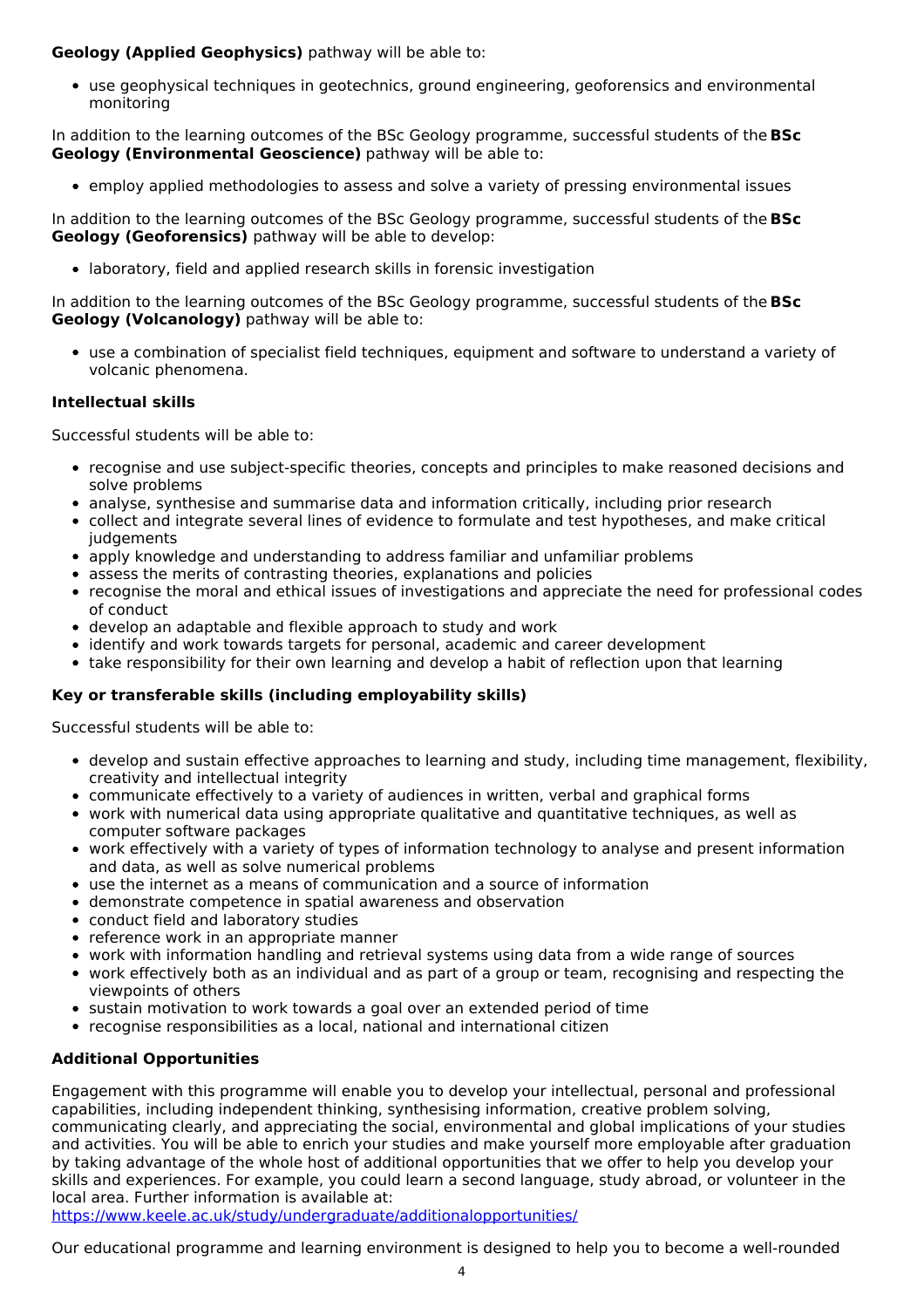### **Geology (Applied Geophysics)** pathway will be able to:

use geophysical techniques in geotechnics, ground engineering, geoforensics and environmental monitoring

In addition to the learning outcomes of the BSc Geology programme, successful students of the **BSc Geology (Environmental Geoscience)** pathway will be able to:

employ applied methodologies to assess and solve a variety of pressing environmental issues

In addition to the learning outcomes of the BSc Geology programme, successful students of the **BSc Geology (Geoforensics)** pathway will be able to develop:

laboratory, field and applied research skills in forensic investigation

In addition to the learning outcomes of the BSc Geology programme, successful students of the **BSc Geology (Volcanology)** pathway will be able to:

use a combination of specialist field techniques, equipment and software to understand a variety of volcanic phenomena.

### **Intellectual skills**

Successful students will be able to:

- recognise and use subject-specific theories, concepts and principles to make reasoned decisions and solve problems
- analyse, synthesise and summarise data and information critically, including prior research
- collect and integrate several lines of evidence to formulate and test hypotheses, and make critical iudgements
- apply knowledge and understanding to address familiar and unfamiliar problems
- assess the merits of contrasting theories, explanations and policies
- recognise the moral and ethical issues of investigations and appreciate the need for professional codes of conduct
- develop an adaptable and flexible approach to study and work
- identify and work towards targets for personal, academic and career development
- take responsibility for their own learning and develop a habit of reflection upon that learning

### **Key or transferable skills (including employability skills)**

Successful students will be able to:

- develop and sustain effective approaches to learning and study, including time management, flexibility, creativity and intellectual integrity
- communicate effectively to a variety of audiences in written, verbal and graphical forms
- work with numerical data using appropriate qualitative and quantitative techniques, as well as computer software packages
- work effectively with a variety of types of information technology to analyse and present information and data, as well as solve numerical problems
- use the internet as a means of communication and a source of information
- demonstrate competence in spatial awareness and observation
- conduct field and laboratory studies
- reference work in an appropriate manner
- work with information handling and retrieval systems using data from a wide range of sources
- work effectively both as an individual and as part of a group or team, recognising and respecting the viewpoints of others
- sustain motivation to work towards a goal over an extended period of time
- recognise responsibilities as a local, national and international citizen

### **Additional Opportunities**

Engagement with this programme will enable you to develop your intellectual, personal and professional capabilities, including independent thinking, synthesising information, creative problem solving, communicating clearly, and appreciating the social, environmental and global implications of your studies and activities. You will be able to enrich your studies and make yourself more employable after graduation by taking advantage of the whole host of additional opportunities that we offer to help you develop your skills and experiences. For example, you could learn a second language, study abroad, or volunteer in the local area. Further information is available at:

<https://www.keele.ac.uk/study/undergraduate/additionalopportunities/>

Our educational programme and learning environment is designed to help you to become a well-rounded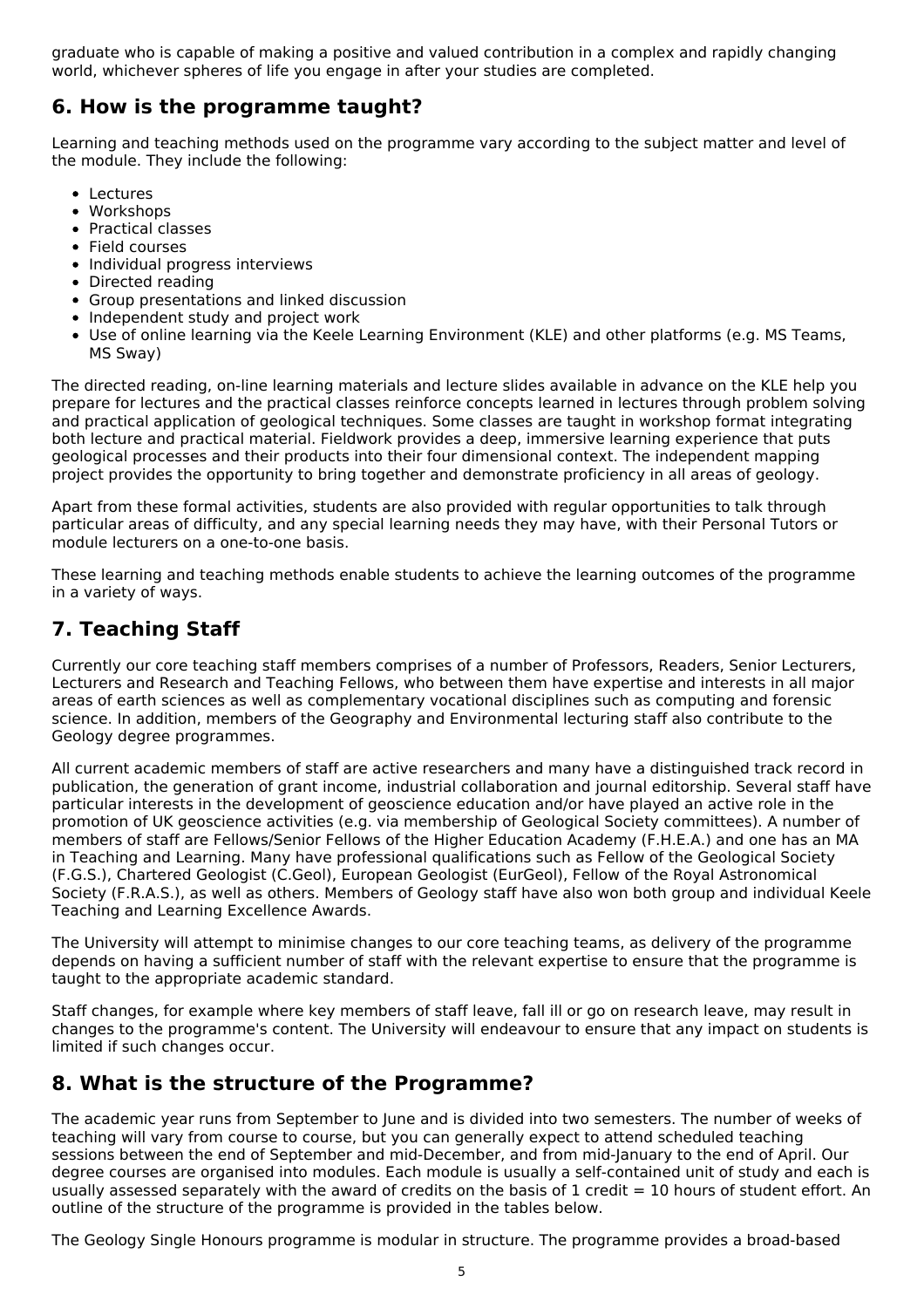graduate who is capable of making a positive and valued contribution in a complex and rapidly changing world, whichever spheres of life you engage in after your studies are completed.

## **6. How is the programme taught?**

Learning and teaching methods used on the programme vary according to the subject matter and level of the module. They include the following:

- Lectures
- Workshops
- Practical classes
- Field courses
- Individual progress interviews
- Directed reading
- Group presentations and linked discussion
- Independent study and project work
- Use of online learning via the Keele Learning Environment (KLE) and other platforms (e.g. MS Teams, MS Sway)

The directed reading, on-line learning materials and lecture slides available in advance on the KLE help you prepare for lectures and the practical classes reinforce concepts learned in lectures through problem solving and practical application of geological techniques. Some classes are taught in workshop format integrating both lecture and practical material. Fieldwork provides a deep, immersive learning experience that puts geological processes and their products into their four dimensional context. The independent mapping project provides the opportunity to bring together and demonstrate proficiency in all areas of geology.

Apart from these formal activities, students are also provided with regular opportunities to talk through particular areas of difficulty, and any special learning needs they may have, with their Personal Tutors or module lecturers on a one-to-one basis.

These learning and teaching methods enable students to achieve the learning outcomes of the programme in a variety of ways.

## **7. Teaching Staff**

Currently our core teaching staff members comprises of a number of Professors, Readers, Senior Lecturers, Lecturers and Research and Teaching Fellows, who between them have expertise and interests in all major areas of earth sciences as well as complementary vocational disciplines such as computing and forensic science. In addition, members of the Geography and Environmental lecturing staff also contribute to the Geology degree programmes.

All current academic members of staff are active researchers and many have a distinguished track record in publication, the generation of grant income, industrial collaboration and journal editorship. Several staff have particular interests in the development of geoscience education and/or have played an active role in the promotion of UK geoscience activities (e.g. via membership of Geological Society committees). A number of members of staff are Fellows/Senior Fellows of the Higher Education Academy (F.H.E.A.) and one has an MA in Teaching and Learning. Many have professional qualifications such as Fellow of the Geological Society (F.G.S.), Chartered Geologist (C.Geol), European Geologist (EurGeol), Fellow of the Royal Astronomical Society (F.R.A.S.), as well as others. Members of Geology staff have also won both group and individual Keele Teaching and Learning Excellence Awards.

The University will attempt to minimise changes to our core teaching teams, as delivery of the programme depends on having a sufficient number of staff with the relevant expertise to ensure that the programme is taught to the appropriate academic standard.

Staff changes, for example where key members of staff leave, fall ill or go on research leave, may result in changes to the programme's content. The University will endeavour to ensure that any impact on students is limited if such changes occur.

## **8. What is the structure of the Programme?**

The academic year runs from September to June and is divided into two semesters. The number of weeks of teaching will vary from course to course, but you can generally expect to attend scheduled teaching sessions between the end of September and mid-December, and from mid-January to the end of April. Our degree courses are organised into modules. Each module is usually a self-contained unit of study and each is usually assessed separately with the award of credits on the basis of  $1$  credit = 10 hours of student effort. An outline of the structure of the programme is provided in the tables below.

The Geology Single Honours programme is modular in structure. The programme provides a broad-based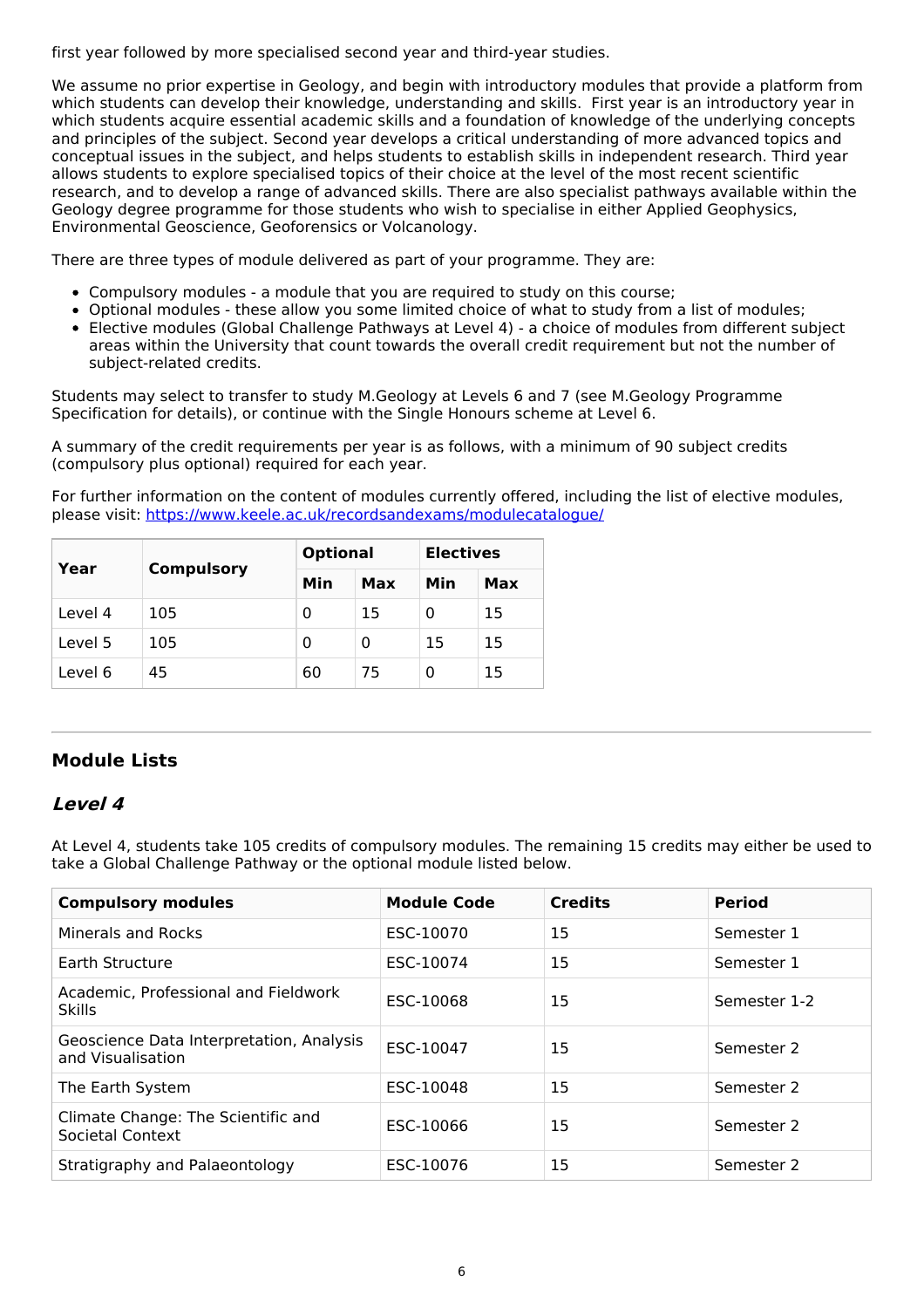first year followed by more specialised second year and third-year studies.

We assume no prior expertise in Geology, and begin with introductory modules that provide a platform from which students can develop their knowledge, understanding and skills. First year is an introductory year in which students acquire essential academic skills and a foundation of knowledge of the underlying concepts and principles of the subject. Second year develops a critical understanding of more advanced topics and conceptual issues in the subject, and helps students to establish skills in independent research. Third year allows students to explore specialised topics of their choice at the level of the most recent scientific research, and to develop a range of advanced skills. There are also specialist pathways available within the Geology degree programme for those students who wish to specialise in either Applied Geophysics, Environmental Geoscience, Geoforensics or Volcanology.

There are three types of module delivered as part of your programme. They are:

- Compulsory modules a module that you are required to study on this course;
- Optional modules these allow you some limited choice of what to study from a list of modules;
- Elective modules (Global Challenge Pathways at Level 4) a choice of modules from different subject areas within the University that count towards the overall credit requirement but not the number of subject-related credits.

Students may select to transfer to study M.Geology at Levels 6 and 7 (see M.Geology Programme Specification for details), or continue with the Single Honours scheme at Level 6.

A summary of the credit requirements per year is as follows, with a minimum of 90 subject credits (compulsory plus optional) required for each year.

For further information on the content of modules currently offered, including the list of elective modules, please visit: <https://www.keele.ac.uk/recordsandexams/modulecatalogue/>

| Year    | <b>Compulsory</b> | <b>Optional</b> |     | <b>Electives</b> |     |
|---------|-------------------|-----------------|-----|------------------|-----|
|         |                   | Min             | Max | Min              | Max |
| Level 4 | 105               | 0               | 15  | 0                | 15  |
| Level 5 | 105               | 0               | 0   | 15               | 15  |
| Level 6 | 45                | 60              | 75  |                  | 15  |

## **Module Lists**

## **Level 4**

At Level 4, students take 105 credits of compulsory modules. The remaining 15 credits may either be used to take a Global Challenge Pathway or the optional module listed below.

| <b>Compulsory modules</b>                                     | <b>Module Code</b> | <b>Credits</b> | <b>Period</b> |
|---------------------------------------------------------------|--------------------|----------------|---------------|
| Minerals and Rocks                                            | ESC-10070          | 15             | Semester 1    |
| Earth Structure                                               | ESC-10074          | 15             | Semester 1    |
| Academic, Professional and Fieldwork<br><b>Skills</b>         | ESC-10068          | 15             | Semester 1-2  |
| Geoscience Data Interpretation, Analysis<br>and Visualisation | ESC-10047          | 15             | Semester 2    |
| The Earth System                                              | ESC-10048          | 15             | Semester 2    |
| Climate Change: The Scientific and<br>Societal Context        | ESC-10066          | 15             | Semester 2    |
| Stratigraphy and Palaeontology                                | ESC-10076          | 15             | Semester 2    |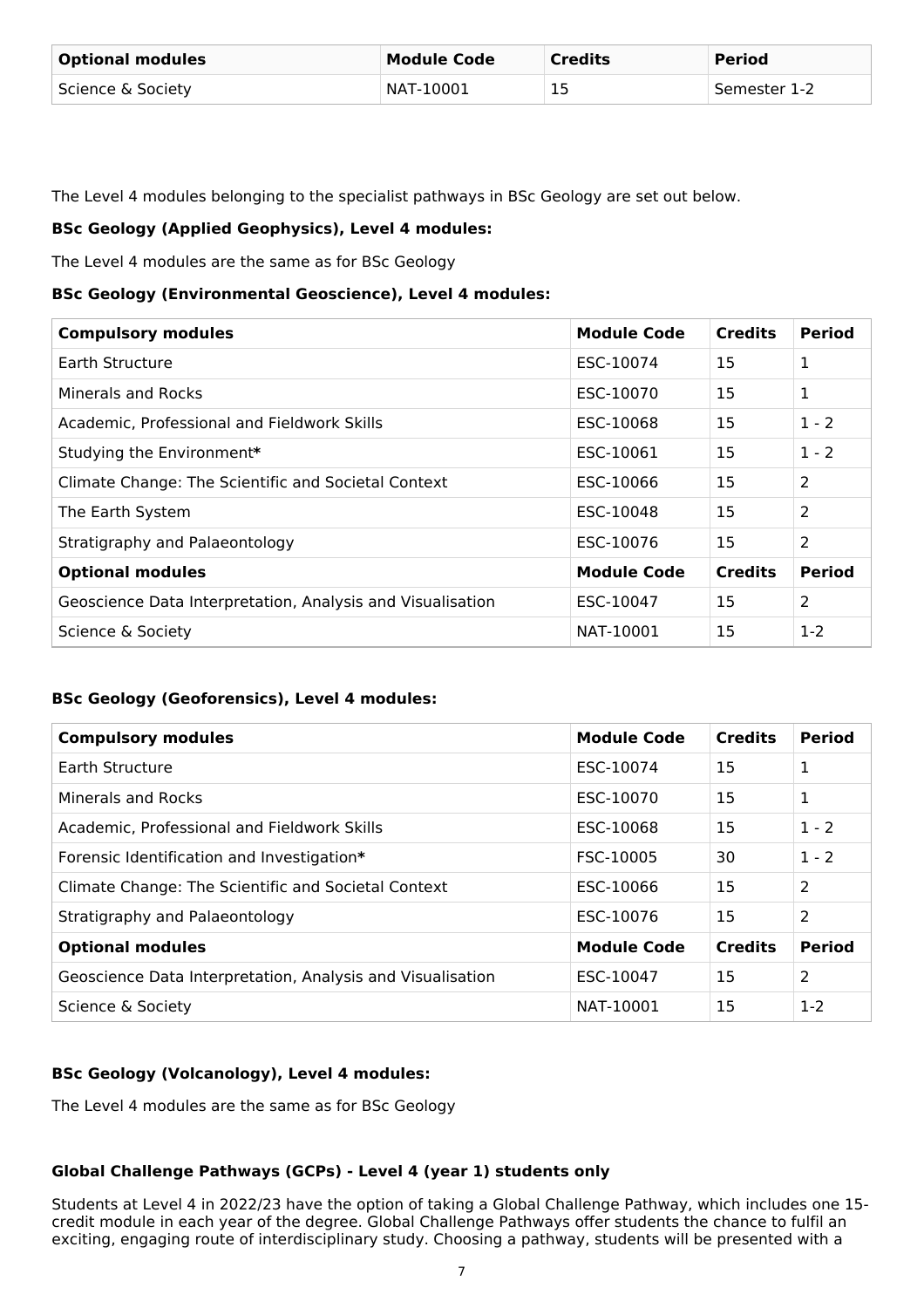| <b>Optional modules</b> | <b>Module Code</b> | <b>Credits</b> | <b>Period</b> |
|-------------------------|--------------------|----------------|---------------|
| Science & Society       | NAT-10001          | 15<br>ر پ      | Semester 1-2  |

The Level 4 modules belonging to the specialist pathways in BSc Geology are set out below.

### **BSc Geology (Applied Geophysics), Level 4 modules:**

The Level 4 modules are the same as for BSc Geology

#### **BSc Geology (Environmental Geoscience), Level 4 modules:**

| <b>Compulsory modules</b>                                  | <b>Module Code</b> | <b>Credits</b> | <b>Period</b> |
|------------------------------------------------------------|--------------------|----------------|---------------|
| Earth Structure                                            | ESC-10074          | 15             | 1             |
| Minerals and Rocks                                         | ESC-10070          | 15             | 1             |
| Academic, Professional and Fieldwork Skills                | ESC-10068          | 15             | $1 - 2$       |
| Studying the Environment*                                  | ESC-10061          | 15             | $1 - 2$       |
| Climate Change: The Scientific and Societal Context        | ESC-10066          | 15             | 2             |
| The Earth System                                           | ESC-10048          | 15             | 2             |
| Stratigraphy and Palaeontology                             | ESC-10076          | 15             | 2             |
| <b>Optional modules</b>                                    | <b>Module Code</b> | <b>Credits</b> | <b>Period</b> |
| Geoscience Data Interpretation, Analysis and Visualisation | ESC-10047          | 15             | 2             |
| Science & Society                                          | NAT-10001          | 15             | $1-2$         |

### **BSc Geology (Geoforensics), Level 4 modules:**

| <b>Compulsory modules</b>                                  | <b>Module Code</b> | <b>Credits</b> | <b>Period</b> |
|------------------------------------------------------------|--------------------|----------------|---------------|
| Earth Structure                                            | ESC-10074          | 15             | 1             |
| Minerals and Rocks                                         | ESC-10070          | 15             | 1             |
| Academic, Professional and Fieldwork Skills                | ESC-10068          | 15             | $1 - 2$       |
| Forensic Identification and Investigation*                 | FSC-10005          | 30             | $1 - 2$       |
| Climate Change: The Scientific and Societal Context        | ESC-10066          | 15             | 2             |
| Stratigraphy and Palaeontology                             | ESC-10076          | 15             | 2             |
| <b>Optional modules</b>                                    | <b>Module Code</b> | <b>Credits</b> | <b>Period</b> |
| Geoscience Data Interpretation, Analysis and Visualisation | ESC-10047          | 15             | 2             |
| Science & Society                                          | NAT-10001          | 15             | $1-2$         |

### **BSc Geology (Volcanology), Level 4 modules:**

The Level 4 modules are the same as for BSc Geology

### **Global Challenge Pathways (GCPs) - Level 4 (year 1) students only**

Students at Level 4 in 2022/23 have the option of taking a Global Challenge Pathway, which includes one 15 credit module in each year of the degree. Global Challenge Pathways offer students the chance to fulfil an exciting, engaging route of interdisciplinary study. Choosing a pathway, students will be presented with a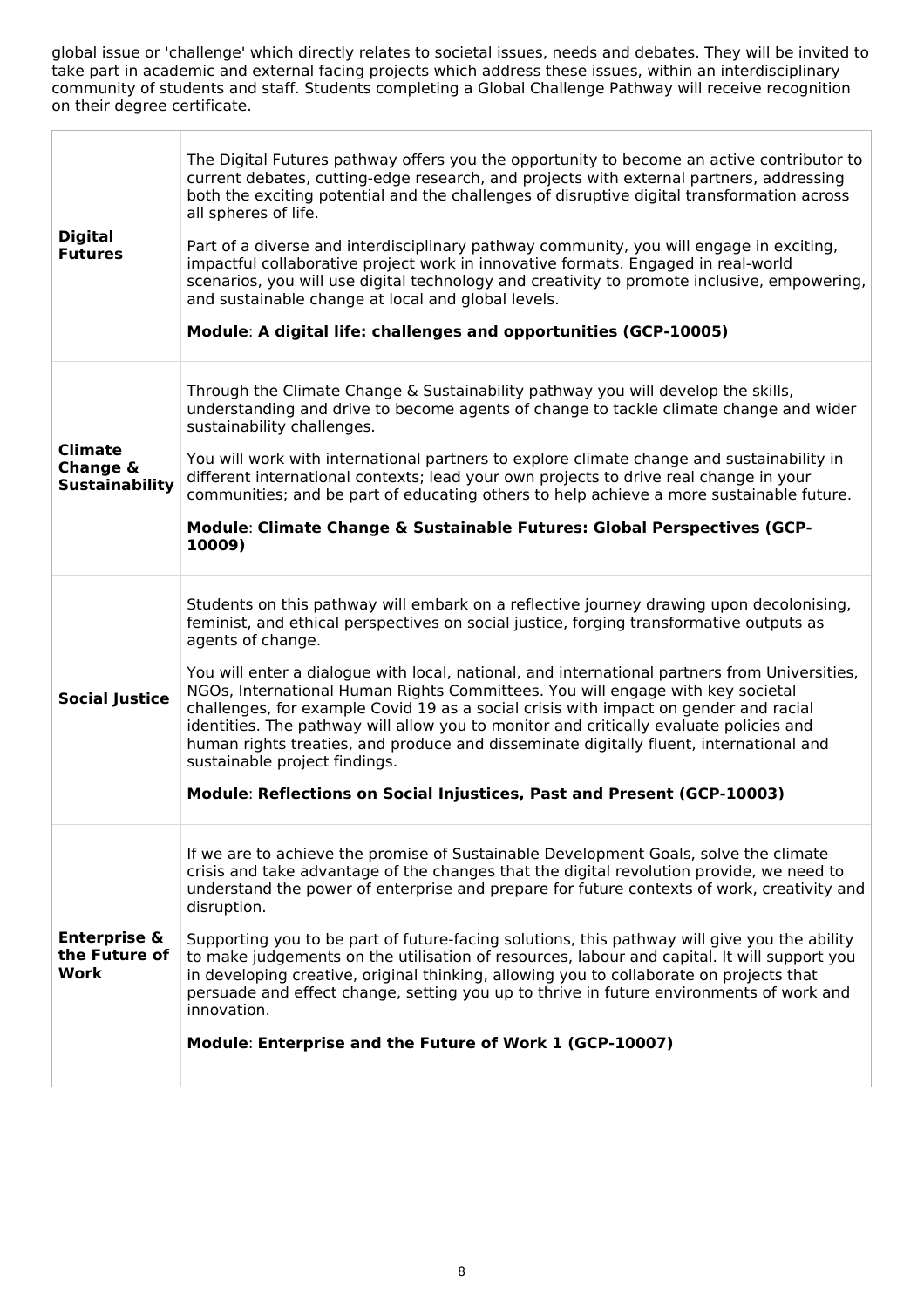global issue or 'challenge' which directly relates to societal issues, needs and debates. They will be invited to take part in academic and external facing projects which address these issues, within an interdisciplinary community of students and staff. Students completing a Global Challenge Pathway will receive recognition on their degree certificate.

| <b>Digital</b><br><b>Futures</b>                    | The Digital Futures pathway offers you the opportunity to become an active contributor to<br>current debates, cutting-edge research, and projects with external partners, addressing<br>both the exciting potential and the challenges of disruptive digital transformation across<br>all spheres of life.<br>Part of a diverse and interdisciplinary pathway community, you will engage in exciting,<br>impactful collaborative project work in innovative formats. Engaged in real-world<br>scenarios, you will use digital technology and creativity to promote inclusive, empowering,<br>and sustainable change at local and global levels.<br>Module: A digital life: challenges and opportunities (GCP-10005)                                                               |
|-----------------------------------------------------|-----------------------------------------------------------------------------------------------------------------------------------------------------------------------------------------------------------------------------------------------------------------------------------------------------------------------------------------------------------------------------------------------------------------------------------------------------------------------------------------------------------------------------------------------------------------------------------------------------------------------------------------------------------------------------------------------------------------------------------------------------------------------------------|
| <b>Climate</b><br>Change &<br><b>Sustainability</b> | Through the Climate Change & Sustainability pathway you will develop the skills,<br>understanding and drive to become agents of change to tackle climate change and wider<br>sustainability challenges.<br>You will work with international partners to explore climate change and sustainability in<br>different international contexts; lead your own projects to drive real change in your<br>communities; and be part of educating others to help achieve a more sustainable future.<br>Module: Climate Change & Sustainable Futures: Global Perspectives (GCP-<br>10009)                                                                                                                                                                                                     |
| <b>Social Justice</b>                               | Students on this pathway will embark on a reflective journey drawing upon decolonising,<br>feminist, and ethical perspectives on social justice, forging transformative outputs as<br>agents of change.<br>You will enter a dialogue with local, national, and international partners from Universities,<br>NGOs, International Human Rights Committees. You will engage with key societal<br>challenges, for example Covid 19 as a social crisis with impact on gender and racial<br>identities. The pathway will allow you to monitor and critically evaluate policies and<br>human rights treaties, and produce and disseminate digitally fluent, international and<br>sustainable project findings.<br>Module: Reflections on Social Injustices, Past and Present (GCP-10003) |
| <b>Enterprise &amp;</b><br>the Future of<br>Work    | If we are to achieve the promise of Sustainable Development Goals, solve the climate<br>crisis and take advantage of the changes that the digital revolution provide, we need to<br>understand the power of enterprise and prepare for future contexts of work, creativity and<br>disruption.<br>Supporting you to be part of future-facing solutions, this pathway will give you the ability<br>to make judgements on the utilisation of resources, labour and capital. It will support you<br>in developing creative, original thinking, allowing you to collaborate on projects that<br>persuade and effect change, setting you up to thrive in future environments of work and<br>innovation.<br>Module: Enterprise and the Future of Work 1 (GCP-10007)                      |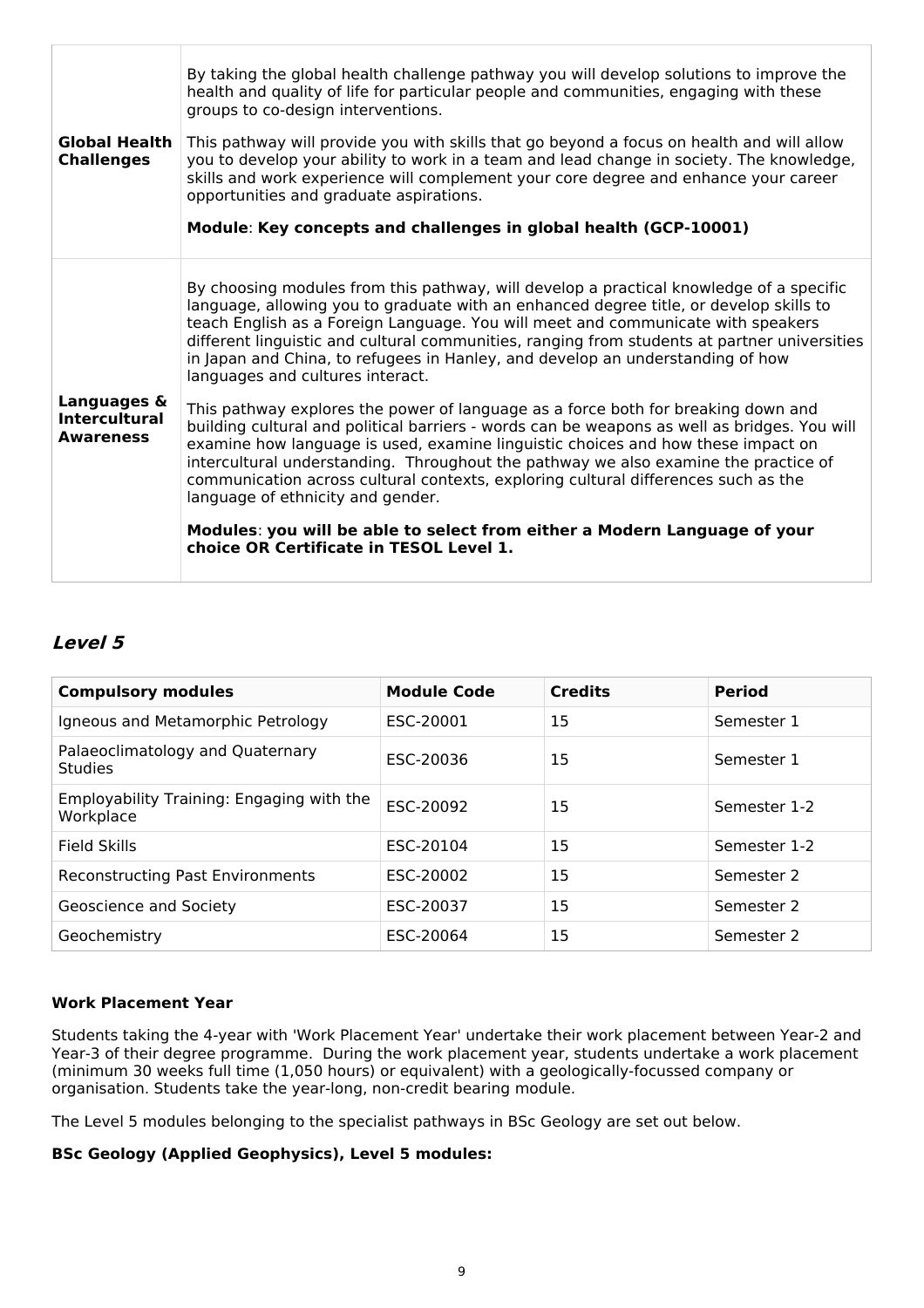| <b>Global Health</b><br><b>Challenges</b>               | By taking the global health challenge pathway you will develop solutions to improve the<br>health and quality of life for particular people and communities, engaging with these<br>groups to co-design interventions.<br>This pathway will provide you with skills that go beyond a focus on health and will allow<br>you to develop your ability to work in a team and lead change in society. The knowledge,<br>skills and work experience will complement your core degree and enhance your career<br>opportunities and graduate aspirations.<br>Module: Key concepts and challenges in global health (GCP-10001) |
|---------------------------------------------------------|-----------------------------------------------------------------------------------------------------------------------------------------------------------------------------------------------------------------------------------------------------------------------------------------------------------------------------------------------------------------------------------------------------------------------------------------------------------------------------------------------------------------------------------------------------------------------------------------------------------------------|
|                                                         | By choosing modules from this pathway, will develop a practical knowledge of a specific<br>language, allowing you to graduate with an enhanced degree title, or develop skills to<br>teach English as a Foreign Language. You will meet and communicate with speakers<br>different linguistic and cultural communities, ranging from students at partner universities<br>in Japan and China, to refugees in Hanley, and develop an understanding of how<br>languages and cultures interact.                                                                                                                           |
| Languages &<br><b>Intercultural</b><br><b>Awareness</b> | This pathway explores the power of language as a force both for breaking down and<br>building cultural and political barriers - words can be weapons as well as bridges. You will<br>examine how language is used, examine linguistic choices and how these impact on<br>intercultural understanding. Throughout the pathway we also examine the practice of<br>communication across cultural contexts, exploring cultural differences such as the<br>language of ethnicity and gender.                                                                                                                               |
|                                                         | Modules: you will be able to select from either a Modern Language of your<br>choice OR Certificate in TESOL Level 1.                                                                                                                                                                                                                                                                                                                                                                                                                                                                                                  |

## **Level 5**

| <b>Compulsory modules</b>                              | <b>Module Code</b> | <b>Credits</b> | <b>Period</b> |
|--------------------------------------------------------|--------------------|----------------|---------------|
| Igneous and Metamorphic Petrology                      | ESC-20001          | 15             | Semester 1    |
| Palaeoclimatology and Quaternary<br><b>Studies</b>     | ESC-20036          | 15             | Semester 1    |
| Employability Training: Engaging with the<br>Workplace | ESC-20092          | 15             | Semester 1-2  |
| <b>Field Skills</b>                                    | ESC-20104          | 15             | Semester 1-2  |
| <b>Reconstructing Past Environments</b>                | ESC-20002          | 15             | Semester 2    |
| Geoscience and Society                                 | ESC-20037          | 15             | Semester 2    |
| Geochemistry                                           | ESC-20064          | 15             | Semester 2    |

#### **Work Placement Year**

Students taking the 4-year with 'Work Placement Year' undertake their work placement between Year-2 and Year-3 of their degree programme. During the work placement year, students undertake a work placement (minimum 30 weeks full time (1,050 hours) or equivalent) with a geologically-focussed company or organisation. Students take the year-long, non-credit bearing module.

The Level 5 modules belonging to the specialist pathways in BSc Geology are set out below.

#### **BSc Geology (Applied Geophysics), Level 5 modules:**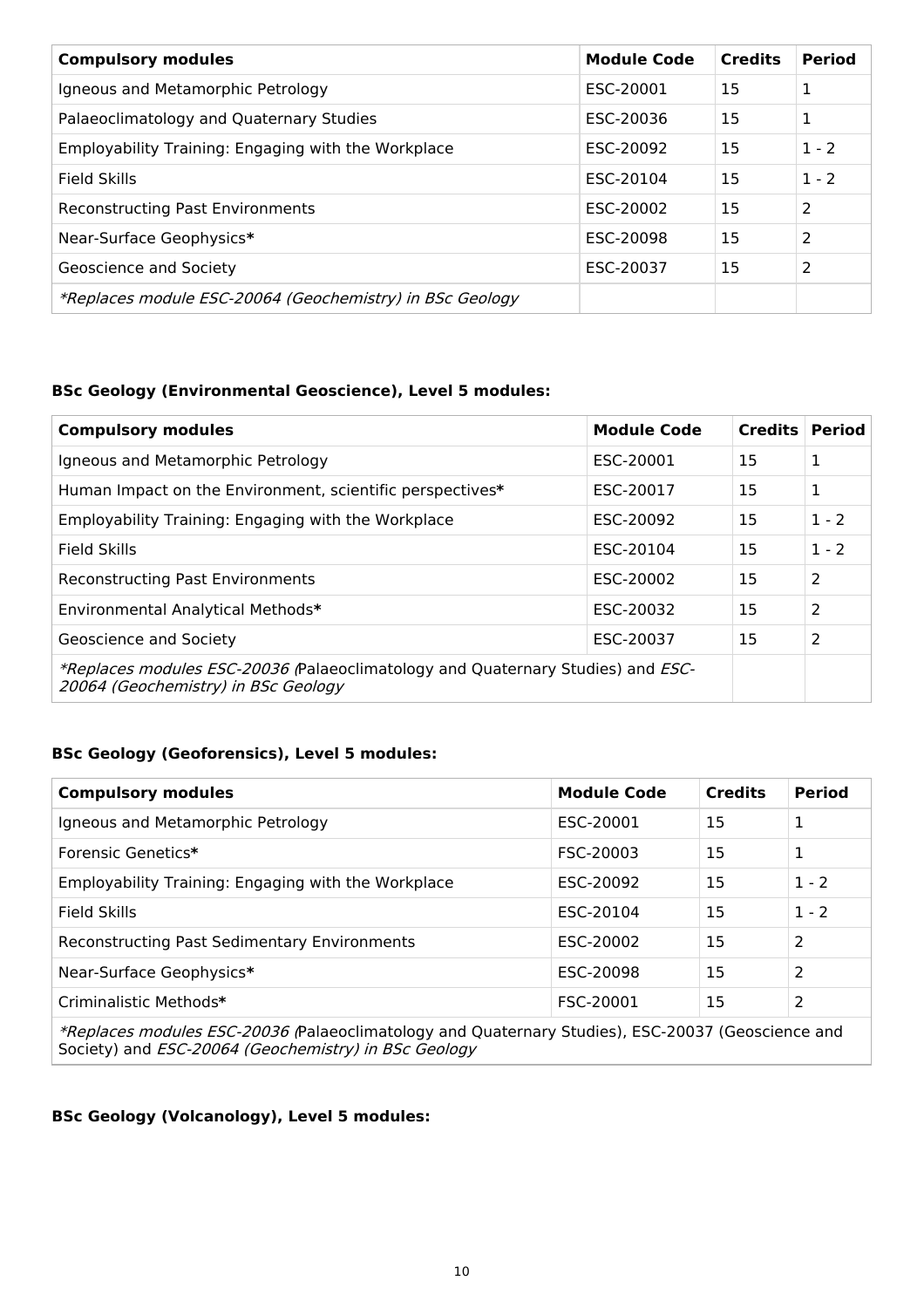| <b>Compulsory modules</b>                                | <b>Module Code</b> | <b>Credits</b> | <b>Period</b> |
|----------------------------------------------------------|--------------------|----------------|---------------|
| Igneous and Metamorphic Petrology                        | ESC-20001          | 15             | 1             |
| Palaeoclimatology and Quaternary Studies                 | ESC-20036          | 15             | 1             |
| Employability Training: Engaging with the Workplace      | ESC-20092          | 15             | $1 - 2$       |
| Field Skills                                             | ESC-20104          | 15             | $1 - 2$       |
| <b>Reconstructing Past Environments</b>                  | ESC-20002          | 15             | 2             |
| Near-Surface Geophysics*                                 | ESC-20098          | 15             | 2             |
| Geoscience and Society                                   | ESC-20037          | 15             | 2             |
| *Replaces module ESC-20064 (Geochemistry) in BSc Geology |                    |                |               |

### **BSc Geology (Environmental Geoscience), Level 5 modules:**

| <b>Compulsory modules</b>                                                                                              | <b>Module Code</b> | Credits | <b>Period</b>  |
|------------------------------------------------------------------------------------------------------------------------|--------------------|---------|----------------|
| Igneous and Metamorphic Petrology                                                                                      | ESC-20001          | 15      | 1              |
| Human Impact on the Environment, scientific perspectives*                                                              | ESC-20017          | 15      | 1              |
| Employability Training: Engaging with the Workplace                                                                    | ESC-20092          | 15      | $1 - 2$        |
| Field Skills                                                                                                           | ESC-20104          | 15      | $1 - 2$        |
| <b>Reconstructing Past Environments</b>                                                                                | ESC-20002          | 15      | 2              |
| Environmental Analytical Methods*                                                                                      | ESC-20032          | 15      | $\overline{2}$ |
| Geoscience and Society                                                                                                 | ESC-20037          | 15      | $\overline{2}$ |
| *Replaces modules ESC-20036 (Palaeoclimatology and Quaternary Studies) and ESC-<br>20064 (Geochemistry) in BSc Geology |                    |         |                |

### **BSc Geology (Geoforensics), Level 5 modules:**

| <b>Compulsory modules</b>                                                                         | <b>Module Code</b> | <b>Credits</b> | <b>Period</b>  |  |
|---------------------------------------------------------------------------------------------------|--------------------|----------------|----------------|--|
| Igneous and Metamorphic Petrology                                                                 | ESC-20001          | 15             | 1              |  |
| Forensic Genetics*                                                                                | FSC-20003          | 15             | 1              |  |
| Employability Training: Engaging with the Workplace                                               | ESC-20092          | 15             | $1 - 2$        |  |
| <b>Field Skills</b>                                                                               | ESC-20104          | 15             | $1 - 2$        |  |
| <b>Reconstructing Past Sedimentary Environments</b>                                               | ESC-20002          | 15             | $\overline{2}$ |  |
| Near-Surface Geophysics*                                                                          | ESC-20098          | 15             | 2              |  |
| Criminalistic Methods*                                                                            | FSC-20001          | 15             | 2              |  |
| *Deplaces meadules FCC 20026 Delegaslimatelesus and Oughaman: Chudise). FCC 20027 (Canadanese and |                    |                |                |  |

\*Replaces modules ESC-20036 (Palaeoclimatology and Quaternary Studies), ESC-20037 (Geoscience and Society) and *ESC-20064 (Geochemistry) in BSc Geology* 

### **BSc Geology (Volcanology), Level 5 modules:**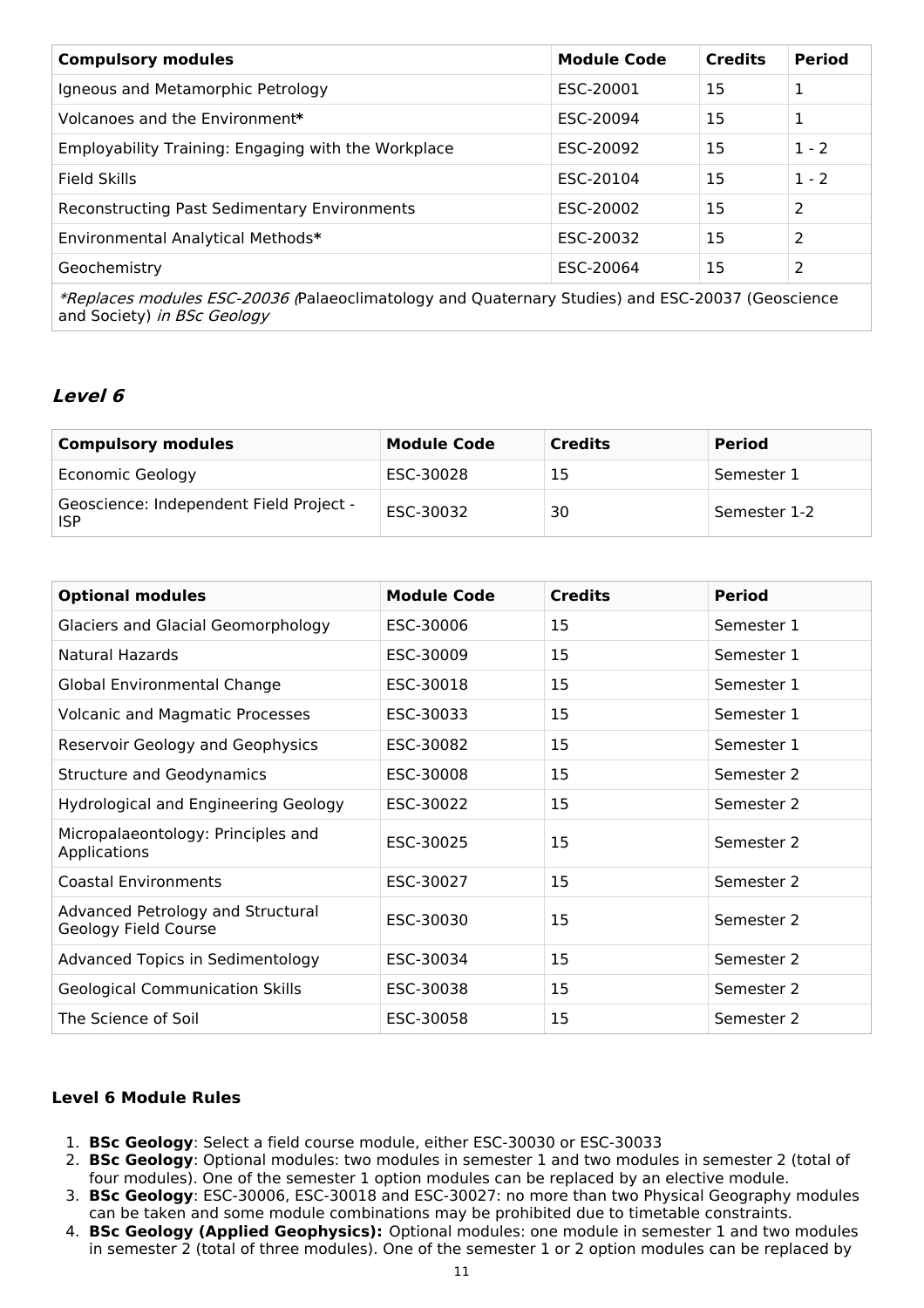| <b>Compulsory modules</b>                                                                        | <b>Module Code</b> | <b>Credits</b> | <b>Period</b> |
|--------------------------------------------------------------------------------------------------|--------------------|----------------|---------------|
| Igneous and Metamorphic Petrology                                                                | ESC-20001          | 15             | 1             |
| Volcanoes and the Environment*                                                                   | ESC-20094          | 15             | 1             |
| Employability Training: Engaging with the Workplace                                              | ESC-20092          | 15             | $1 - 2$       |
| Field Skills                                                                                     | ESC-20104          | 15             | $1 - 2$       |
| <b>Reconstructing Past Sedimentary Environments</b>                                              | ESC-20002          | 15             | 2             |
| Environmental Analytical Methods*                                                                | ESC-20032          | 15             | 2             |
| Geochemistry                                                                                     | ESC-20064          | 15             | 2             |
| *Replaces modules ESC-20036 (Palaeoclimatology and Quaternary Studies) and ESC-20037 (Geoscience |                    |                |               |

**Level 6**

and Society) in BSc Geology

| <b>Compulsory modules</b>                             | <b>Module Code</b> | <b>Credits</b> | <b>Period</b> |
|-------------------------------------------------------|--------------------|----------------|---------------|
| <b>Economic Geology</b>                               | ESC-30028          | 15             | Semester 1    |
| Geoscience: Independent Field Project -<br><b>ISP</b> | ESC-30032          | 30             | Semester 1-2  |

| <b>Optional modules</b>                                   | <b>Module Code</b> | <b>Credits</b> | <b>Period</b> |
|-----------------------------------------------------------|--------------------|----------------|---------------|
| Glaciers and Glacial Geomorphology                        | ESC-30006          | 15             | Semester 1    |
| <b>Natural Hazards</b>                                    | ESC-30009          | 15             | Semester 1    |
| Global Environmental Change                               | ESC-30018          | 15             | Semester 1    |
| <b>Volcanic and Magmatic Processes</b>                    | ESC-30033          | 15             | Semester 1    |
| Reservoir Geology and Geophysics                          | ESC-30082          | 15             | Semester 1    |
| <b>Structure and Geodynamics</b>                          | ESC-30008          | 15             | Semester 2    |
| <b>Hydrological and Engineering Geology</b>               | ESC-30022          | 15             | Semester 2    |
| Micropalaeontology: Principles and<br>Applications        | ESC-30025          | 15             | Semester 2    |
| <b>Coastal Environments</b>                               | ESC-30027          | 15             | Semester 2    |
| Advanced Petrology and Structural<br>Geology Field Course | ESC-30030          | 15             | Semester 2    |
| Advanced Topics in Sedimentology                          | ESC-30034          | 15             | Semester 2    |
| <b>Geological Communication Skills</b>                    | ESC-30038          | 15             | Semester 2    |
| The Science of Soil                                       | ESC-30058          | 15             | Semester 2    |

### **Level 6 Module Rules**

- 1. **BSc Geology**: Select a field course module, either ESC-30030 or ESC-30033
- 2. **BSc Geology**: Optional modules: two modules in semester 1 and two modules in semester 2 (total of four modules). One of the semester 1 option modules can be replaced by an elective module.
- 3. **BSc Geology**: ESC-30006, ESC-30018 and ESC-30027: no more than two Physical Geography modules can be taken and some module combinations may be prohibited due to timetable constraints.
- 4. **BSc Geology (Applied Geophysics):** Optional modules: one module in semester 1 and two modules in semester 2 (total of three modules). One of the semester 1 or 2 option modules can be replaced by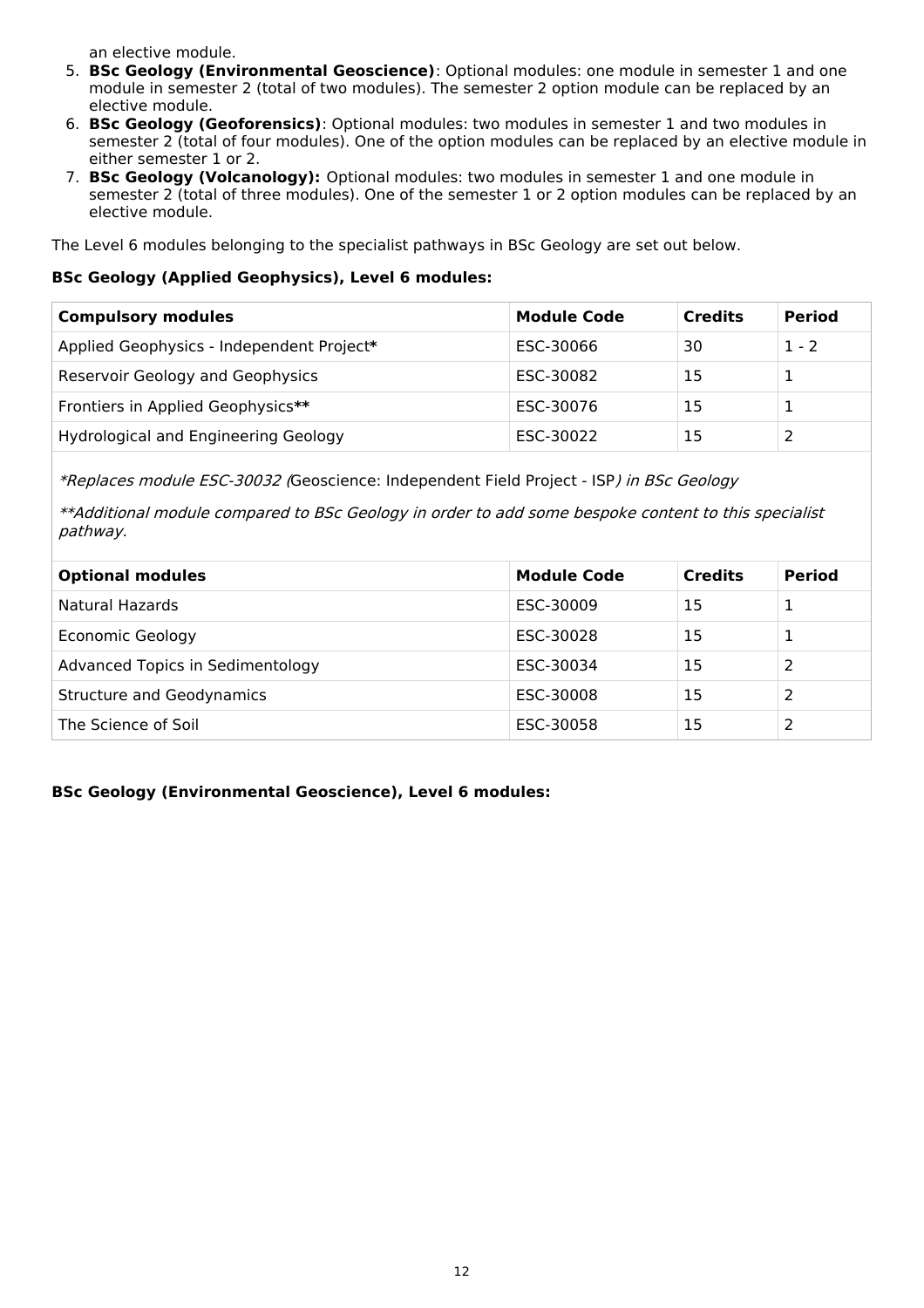an elective module.

- 5. **BSc Geology (Environmental Geoscience)**: Optional modules: one module in semester 1 and one module in semester 2 (total of two modules). The semester 2 option module can be replaced by an elective module.
- 6. **BSc Geology (Geoforensics)**: Optional modules: two modules in semester 1 and two modules in semester 2 (total of four modules). One of the option modules can be replaced by an elective module in either semester 1 or 2.
- 7. **BSc Geology (Volcanology):** Optional modules: two modules in semester 1 and one module in semester 2 (total of three modules). One of the semester 1 or 2 option modules can be replaced by an elective module.

The Level 6 modules belonging to the specialist pathways in BSc Geology are set out below.

#### **BSc Geology (Applied Geophysics), Level 6 modules:**

| <b>Compulsory modules</b>                 | <b>Module Code</b> | <b>Credits</b> | <b>Period</b> |
|-------------------------------------------|--------------------|----------------|---------------|
| Applied Geophysics - Independent Project* | ESC-30066          | 30             | $1 - 2$       |
| Reservoir Geology and Geophysics          | ESC-30082          | 15             |               |
| Frontiers in Applied Geophysics**         | ESC-30076          | 15             |               |
| Hydrological and Engineering Geology      | ESC-30022          | 15             |               |

\*Replaces module ESC-30032 (Geoscience: Independent Field Project - ISP) in BSc Geology

\*\*Additional module compared to BSc Geology in order to add some bespoke content to this specialist pathway.

| <b>Optional modules</b>          | <b>Module Code</b> | <b>Credits</b> | <b>Period</b> |
|----------------------------------|--------------------|----------------|---------------|
| Natural Hazards                  | ESC-30009          | 15             |               |
| <b>Economic Geology</b>          | ESC-30028          | 15             | 1             |
| Advanced Topics in Sedimentology | ESC-30034          | 15             | 2             |
| <b>Structure and Geodynamics</b> | ESC-30008          | 15             | 2             |
| The Science of Soil              | ESC-30058          | 15             |               |

### **BSc Geology (Environmental Geoscience), Level 6 modules:**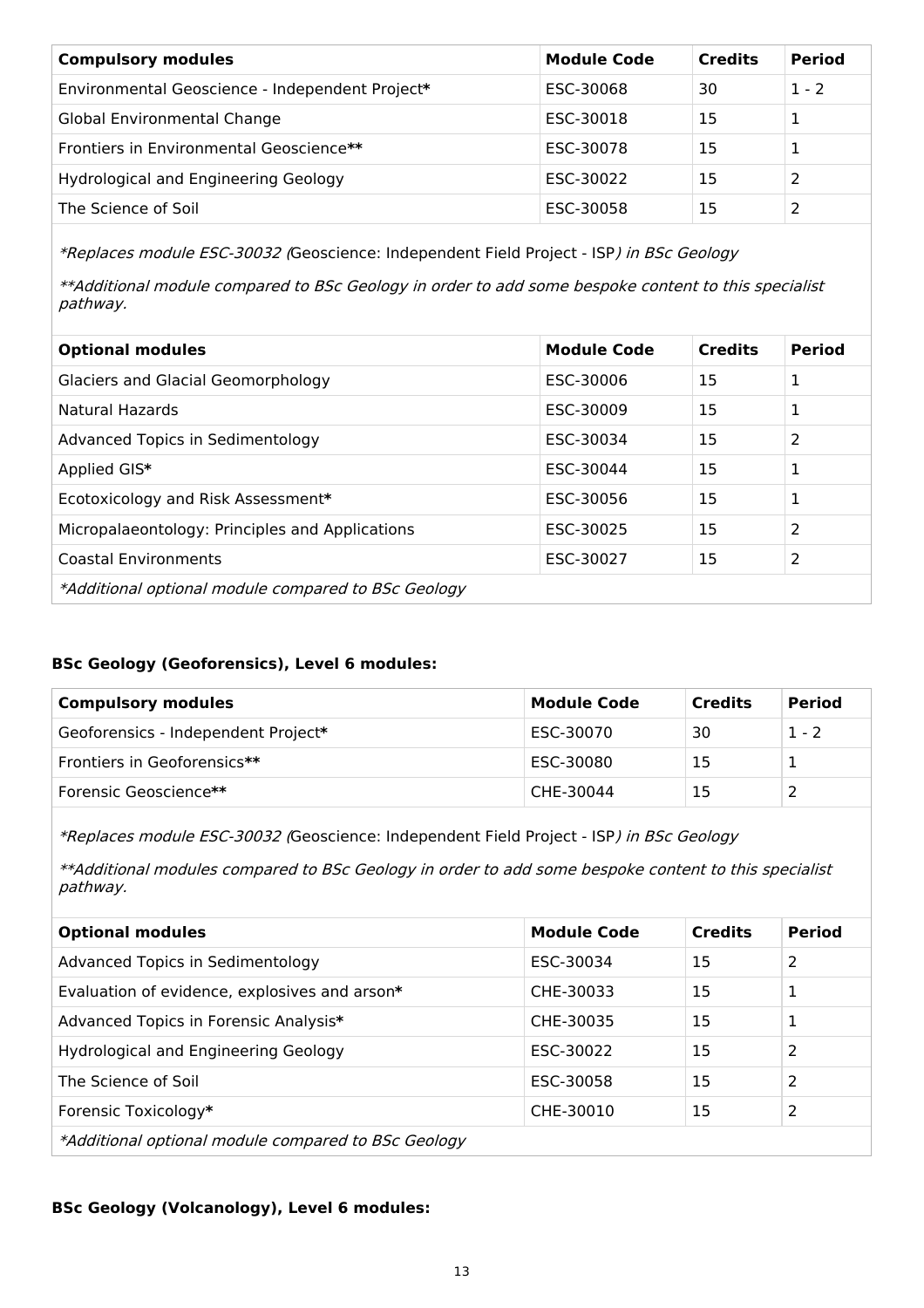| <b>Compulsory modules</b>                       | <b>Module Code</b> | <b>Credits</b> | <b>Period</b> |
|-------------------------------------------------|--------------------|----------------|---------------|
| Environmental Geoscience - Independent Project* | ESC-30068          | 30             | $1 - 2$       |
| Global Environmental Change                     | ESC-30018          | 15             |               |
| Frontiers in Environmental Geoscience**         | ESC-30078          | 15             |               |
| Hydrological and Engineering Geology            | ESC-30022          | 15             |               |
| The Science of Soil                             | ESC-30058          | 15             | っ             |

\*Replaces module ESC-30032 (Geoscience: Independent Field Project - ISP) in BSc Geology

\*\*Additional module compared to BSc Geology in order to add some bespoke content to this specialist pathway.

| <b>Optional modules</b>                             | <b>Module Code</b> | <b>Credits</b> | <b>Period</b>  |
|-----------------------------------------------------|--------------------|----------------|----------------|
| <b>Glaciers and Glacial Geomorphology</b>           | ESC-30006          | 15             | 1              |
| Natural Hazards                                     | ESC-30009          | 15             | 1              |
| Advanced Topics in Sedimentology                    | ESC-30034          | 15             | 2              |
| Applied GIS*                                        | ESC-30044          | 15             | 1              |
| Ecotoxicology and Risk Assessment*                  | ESC-30056          | 15             | 1              |
| Micropalaeontology: Principles and Applications     | ESC-30025          | 15             | $\overline{2}$ |
| <b>Coastal Environments</b>                         | ESC-30027          | 15             | 2              |
| *Additional optional module compared to BSc Geology |                    |                |                |

### **BSc Geology (Geoforensics), Level 6 modules:**

| <b>Compulsory modules</b>           | <b>Module Code</b> | <b>Credits</b> | <b>Period</b> |
|-------------------------------------|--------------------|----------------|---------------|
| Geoforensics - Independent Project* | ESC-30070          | 30             | $1 - 2$       |
| Frontiers in Geoforensics**         | ESC-30080          | 15             |               |
| Forensic Geoscience**               | CHE-30044          |                |               |

\*Replaces module ESC-30032 (Geoscience: Independent Field Project - ISP) in BSc Geology

\*\*Additional modules compared to BSc Geology in order to add some bespoke content to this specialist pathway.

| <b>Optional modules</b>                             | <b>Module Code</b> | <b>Credits</b> | <b>Period</b> |
|-----------------------------------------------------|--------------------|----------------|---------------|
| Advanced Topics in Sedimentology                    | ESC-30034          | 15             | 2             |
| Evaluation of evidence, explosives and arson*       | CHE-30033          | 15             | 1             |
| Advanced Topics in Forensic Analysis*               | CHE-30035          | 15             | 1             |
| Hydrological and Engineering Geology                | ESC-30022          | 15             | 2             |
| The Science of Soil                                 | ESC-30058          | 15             | 2             |
| Forensic Toxicology*                                | CHE-30010          | 15             | 2             |
| *Additional optional module compared to BSc Geology |                    |                |               |

#### **BSc Geology (Volcanology), Level 6 modules:**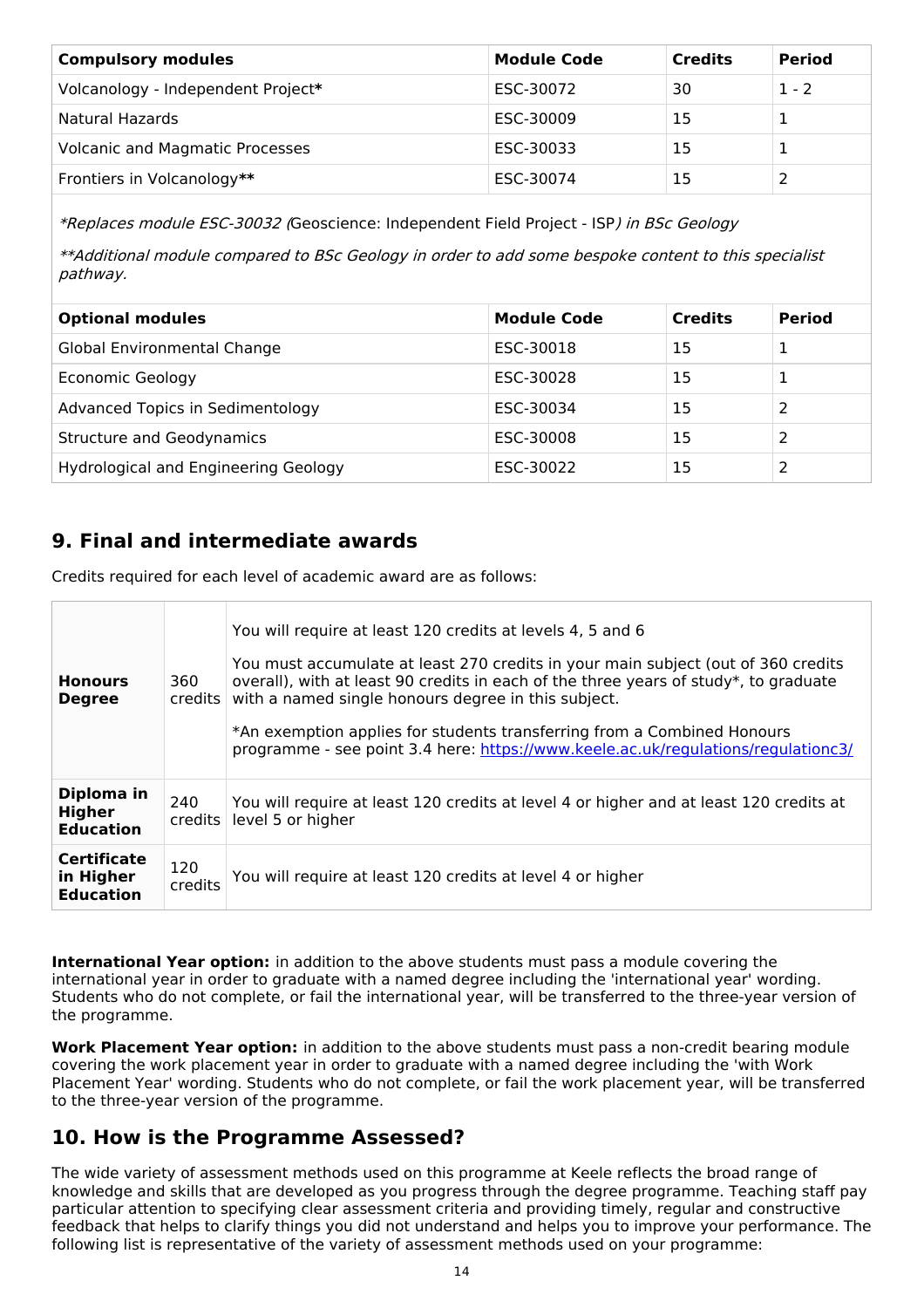| <b>Compulsory modules</b>              | <b>Module Code</b> | <b>Credits</b> | <b>Period</b> |
|----------------------------------------|--------------------|----------------|---------------|
| Volcanology - Independent Project*     | ESC-30072          | 30             | $1 - 2$       |
| Natural Hazards                        | ESC-30009          | 15             |               |
| <b>Volcanic and Magmatic Processes</b> | ESC-30033          | 15             |               |
| Frontiers in Volcanology**             | ESC-30074          | 15             |               |

\*Replaces module ESC-30032 (Geoscience: Independent Field Project - ISP) in BSc Geology

\*\*Additional module compared to BSc Geology in order to add some bespoke content to this specialist pathway.

| <b>Optional modules</b>              | <b>Module Code</b> | <b>Credits</b> | <b>Period</b> |
|--------------------------------------|--------------------|----------------|---------------|
| Global Environmental Change          | ESC-30018          | 15             |               |
| Economic Geology                     | ESC-30028          | 15             |               |
| Advanced Topics in Sedimentology     | ESC-30034          | 15             |               |
| <b>Structure and Geodynamics</b>     | ESC-30008          | 15             |               |
| Hydrological and Engineering Geology | ESC-30022          | 15             |               |

## **9. Final and intermediate awards**

Credits required for each level of academic award are as follows:

| <b>Honours</b><br><b>Degree</b>                     | 360<br>credits l | You will require at least 120 credits at levels 4, 5 and 6<br>You must accumulate at least 270 credits in your main subject (out of 360 credits<br>overall), with at least 90 credits in each of the three years of study*, to graduate<br>with a named single honours degree in this subject.<br>*An exemption applies for students transferring from a Combined Honours<br>programme - see point 3.4 here: https://www.keele.ac.uk/regulations/regulationc3/ |
|-----------------------------------------------------|------------------|----------------------------------------------------------------------------------------------------------------------------------------------------------------------------------------------------------------------------------------------------------------------------------------------------------------------------------------------------------------------------------------------------------------------------------------------------------------|
| Diploma in<br><b>Higher</b><br><b>Education</b>     | 240<br>credits   | You will require at least 120 credits at level 4 or higher and at least 120 credits at<br>level 5 or higher                                                                                                                                                                                                                                                                                                                                                    |
| <b>Certificate</b><br>in Higher<br><b>Education</b> | 120<br>credits   | You will require at least 120 credits at level 4 or higher                                                                                                                                                                                                                                                                                                                                                                                                     |

**International Year option:** in addition to the above students must pass a module covering the international year in order to graduate with a named degree including the 'international year' wording. Students who do not complete, or fail the international year, will be transferred to the three-year version of the programme.

**Work Placement Year option:** in addition to the above students must pass a non-credit bearing module covering the work placement year in order to graduate with a named degree including the 'with Work Placement Year' wording. Students who do not complete, or fail the work placement year, will be transferred to the three-year version of the programme.

## **10. How is the Programme Assessed?**

The wide variety of assessment methods used on this programme at Keele reflects the broad range of knowledge and skills that are developed as you progress through the degree programme. Teaching staff pay particular attention to specifying clear assessment criteria and providing timely, regular and constructive feedback that helps to clarify things you did not understand and helps you to improve your performance. The following list is representative of the variety of assessment methods used on your programme: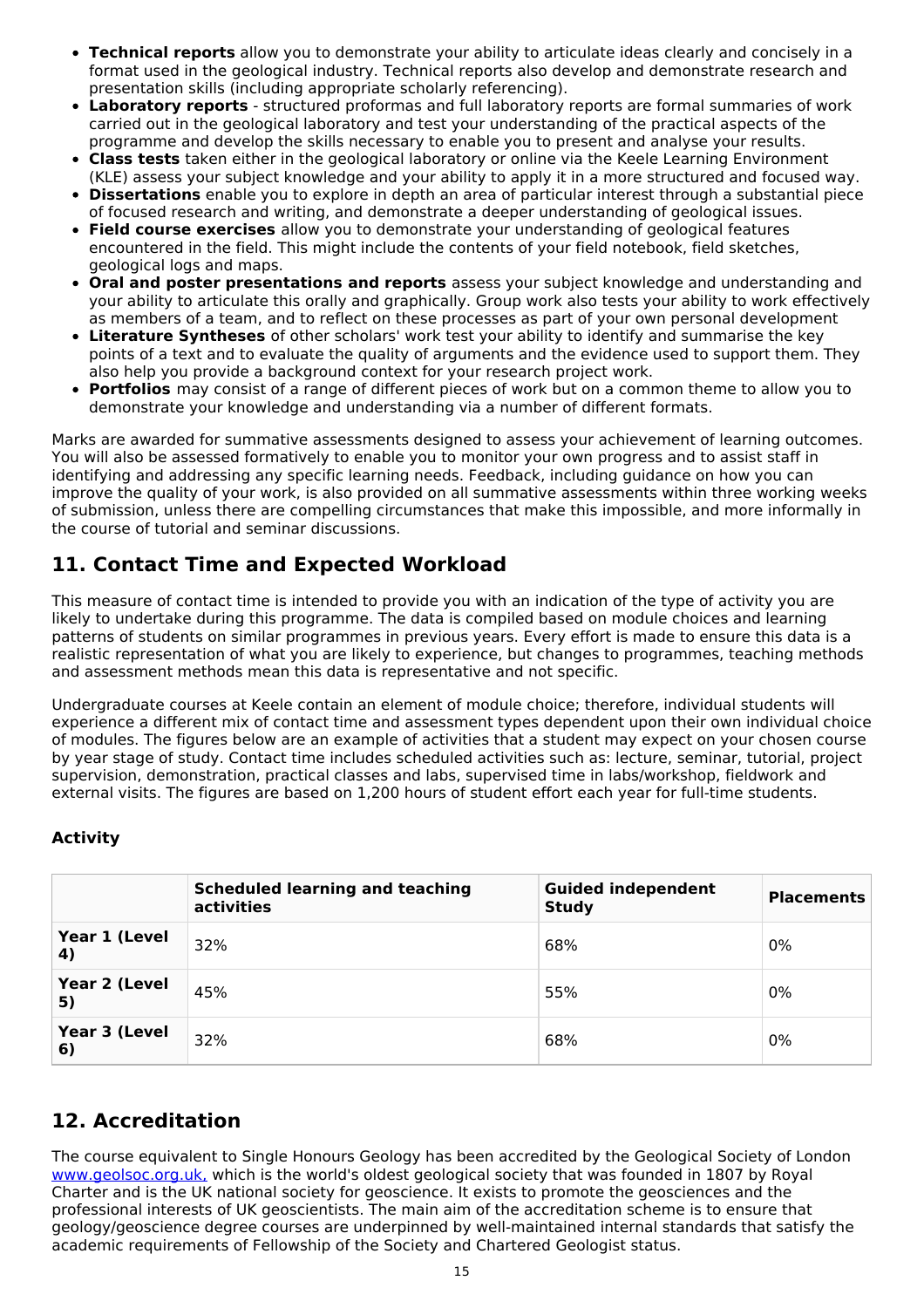- **Technical reports** allow you to demonstrate your ability to articulate ideas clearly and concisely in a format used in the geological industry. Technical reports also develop and demonstrate research and presentation skills (including appropriate scholarly referencing).
- **Laboratory reports** structured proformas and full laboratory reports are formal summaries of work carried out in the geological laboratory and test your understanding of the practical aspects of the programme and develop the skills necessary to enable you to present and analyse your results.
- **Class tests** taken either in the geological laboratory or online via the Keele Learning Environment (KLE) assess your subject knowledge and your ability to apply it in a more structured and focused way.
- **Dissertations** enable you to explore in depth an area of particular interest through a substantial piece  $\bullet$ of focused research and writing, and demonstrate a deeper understanding of geological issues.
- **Field course exercises** allow you to demonstrate your understanding of geological features  $\bullet$ encountered in the field. This might include the contents of your field notebook, field sketches, geological logs and maps.
- **Oral and poster presentations and reports** assess your subject knowledge and understanding and your ability to articulate this orally and graphically. Group work also tests your ability to work effectively as members of a team, and to reflect on these processes as part of your own personal development
- **Literature Syntheses** of other scholars' work test your ability to identify and summarise the key points of a text and to evaluate the quality of arguments and the evidence used to support them. They also help you provide a background context for your research project work.
- **Portfolios** may consist of a range of different pieces of work but on a common theme to allow you to demonstrate your knowledge and understanding via a number of different formats.

Marks are awarded for summative assessments designed to assess your achievement of learning outcomes. You will also be assessed formatively to enable you to monitor your own progress and to assist staff in identifying and addressing any specific learning needs. Feedback, including guidance on how you can improve the quality of your work, is also provided on all summative assessments within three working weeks of submission, unless there are compelling circumstances that make this impossible, and more informally in the course of tutorial and seminar discussions.

## **11. Contact Time and Expected Workload**

This measure of contact time is intended to provide you with an indication of the type of activity you are likely to undertake during this programme. The data is compiled based on module choices and learning patterns of students on similar programmes in previous years. Every effort is made to ensure this data is a realistic representation of what you are likely to experience, but changes to programmes, teaching methods and assessment methods mean this data is representative and not specific.

Undergraduate courses at Keele contain an element of module choice; therefore, individual students will experience a different mix of contact time and assessment types dependent upon their own individual choice of modules. The figures below are an example of activities that a student may expect on your chosen course by year stage of study. Contact time includes scheduled activities such as: lecture, seminar, tutorial, project supervision, demonstration, practical classes and labs, supervised time in labs/workshop, fieldwork and external visits. The figures are based on 1,200 hours of student effort each year for full-time students.

### **Activity**

|                     | <b>Scheduled learning and teaching</b><br>activities | <b>Guided independent</b><br><b>Study</b> | <b>Placements</b> |
|---------------------|------------------------------------------------------|-------------------------------------------|-------------------|
| Year 1 (Level<br>4) | 32%                                                  | 68%                                       | 0%                |
| Year 2 (Level<br>5) | 45%                                                  | 55%                                       | 0%                |
| Year 3 (Level<br>6) | 32%                                                  | 68%                                       | 0%                |

## **12. Accreditation**

The course equivalent to Single Honours Geology has been accredited by the Geological Society of London [www.geolsoc.org.uk,](http://www.geolsoc.org.uk/) which is the world's oldest geological society that was founded in 1807 by Royal Charter and is the UK national society for geoscience. It exists to promote the geosciences and the professional interests of UK geoscientists. The main aim of the accreditation scheme is to ensure that geology/geoscience degree courses are underpinned by well-maintained internal standards that satisfy the academic requirements of Fellowship of the Society and Chartered Geologist status.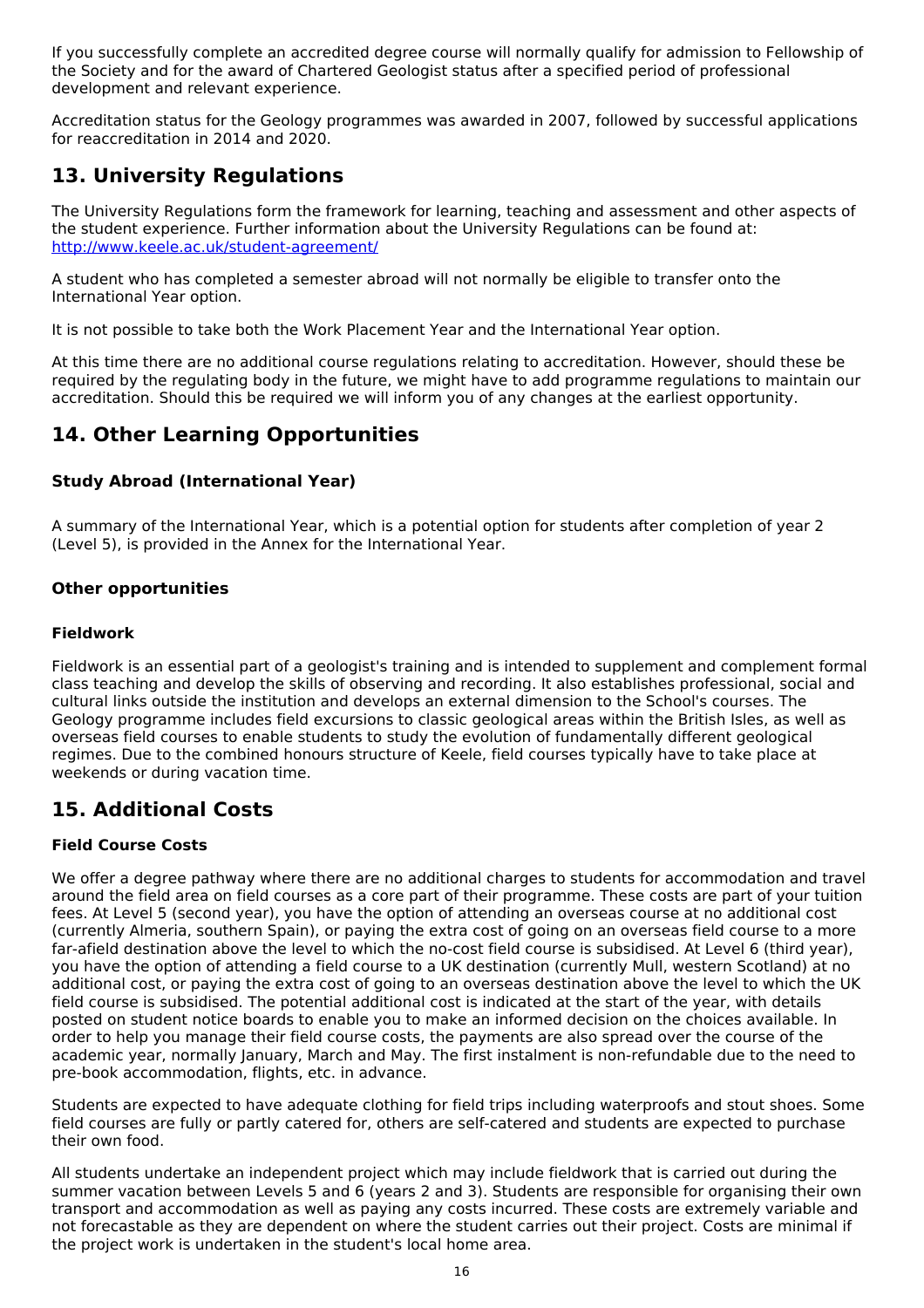If you successfully complete an accredited degree course will normally qualify for admission to Fellowship of the Society and for the award of Chartered Geologist status after a specified period of professional development and relevant experience.

Accreditation status for the Geology programmes was awarded in 2007, followed by successful applications for reaccreditation in 2014 and 2020.

## **13. University Regulations**

The University Regulations form the framework for learning, teaching and assessment and other aspects of the student experience. Further information about the University Regulations can be found at: <http://www.keele.ac.uk/student-agreement/>

A student who has completed a semester abroad will not normally be eligible to transfer onto the International Year option.

It is not possible to take both the Work Placement Year and the International Year option.

At this time there are no additional course regulations relating to accreditation. However, should these be required by the regulating body in the future, we might have to add programme regulations to maintain our accreditation. Should this be required we will inform you of any changes at the earliest opportunity.

## **14. Other Learning Opportunities**

## **Study Abroad (International Year)**

A summary of the International Year, which is a potential option for students after completion of year 2 (Level 5), is provided in the Annex for the International Year.

### **Other opportunities**

### **Fieldwork**

Fieldwork is an essential part of a geologist's training and is intended to supplement and complement formal class teaching and develop the skills of observing and recording. It also establishes professional, social and cultural links outside the institution and develops an external dimension to the School's courses. The Geology programme includes field excursions to classic geological areas within the British Isles, as well as overseas field courses to enable students to study the evolution of fundamentally different geological regimes. Due to the combined honours structure of Keele, field courses typically have to take place at weekends or during vacation time.

## **15. Additional Costs**

### **Field Course Costs**

We offer a degree pathway where there are no additional charges to students for accommodation and travel around the field area on field courses as a core part of their programme. These costs are part of your tuition fees. At Level 5 (second year), you have the option of attending an overseas course at no additional cost (currently Almeria, southern Spain), or paying the extra cost of going on an overseas field course to a more far-afield destination above the level to which the no-cost field course is subsidised. At Level 6 (third year), you have the option of attending a field course to a UK destination (currently Mull, western Scotland) at no additional cost, or paying the extra cost of going to an overseas destination above the level to which the UK field course is subsidised. The potential additional cost is indicated at the start of the year, with details posted on student notice boards to enable you to make an informed decision on the choices available. In order to help you manage their field course costs, the payments are also spread over the course of the academic year, normally January, March and May. The first instalment is non-refundable due to the need to pre-book accommodation, flights, etc. in advance.

Students are expected to have adequate clothing for field trips including waterproofs and stout shoes. Some field courses are fully or partly catered for, others are self-catered and students are expected to purchase their own food.

All students undertake an independent project which may include fieldwork that is carried out during the summer vacation between Levels 5 and 6 (years 2 and 3). Students are responsible for organising their own transport and accommodation as well as paying any costs incurred. These costs are extremely variable and not forecastable as they are dependent on where the student carries out their project. Costs are minimal if the project work is undertaken in the student's local home area.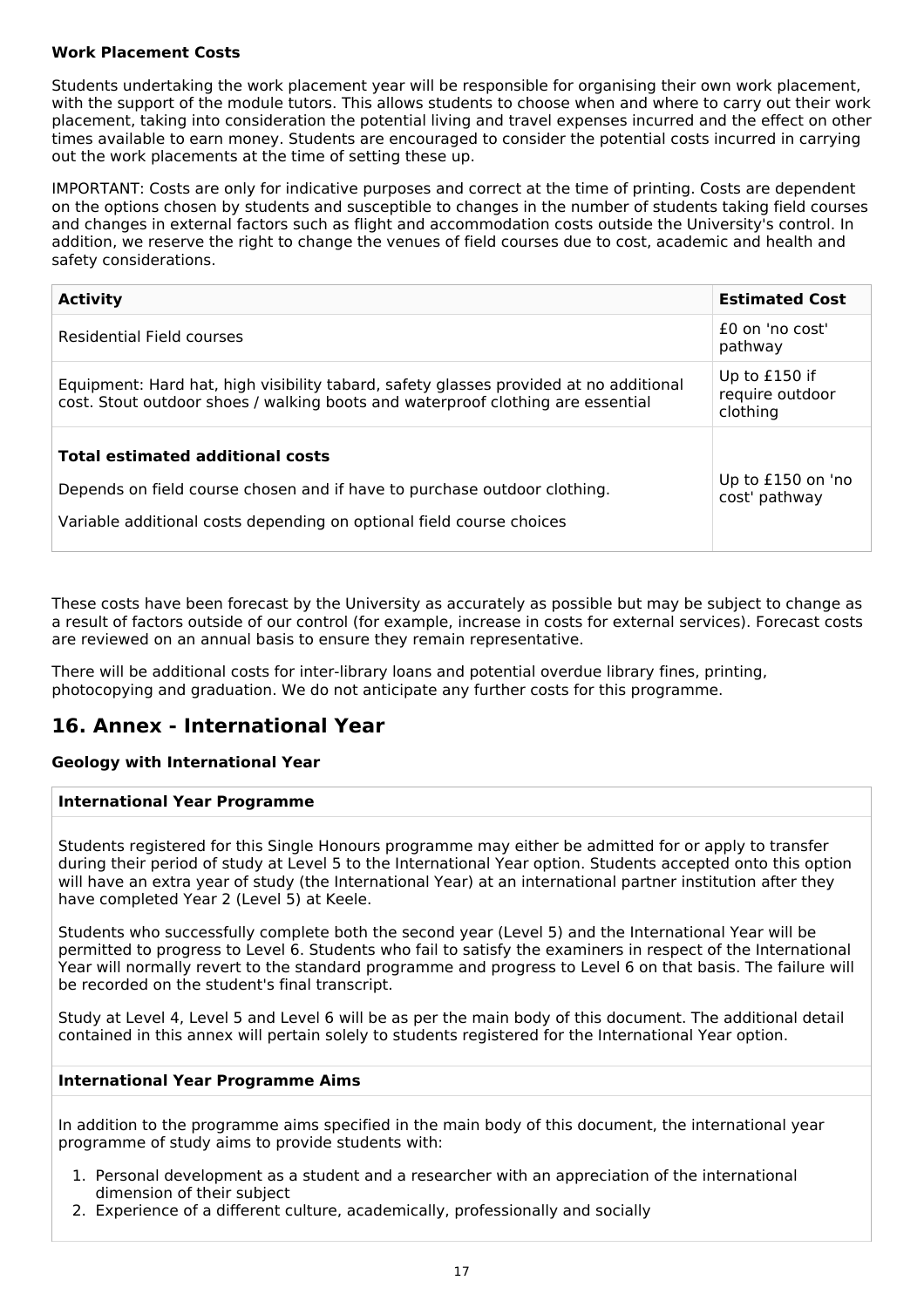### **Work Placement Costs**

Students undertaking the work placement year will be responsible for organising their own work placement, with the support of the module tutors. This allows students to choose when and where to carry out their work placement, taking into consideration the potential living and travel expenses incurred and the effect on other times available to earn money. Students are encouraged to consider the potential costs incurred in carrying out the work placements at the time of setting these up.

IMPORTANT: Costs are only for indicative purposes and correct at the time of printing. Costs are dependent on the options chosen by students and susceptible to changes in the number of students taking field courses and changes in external factors such as flight and accommodation costs outside the University's control. In addition, we reserve the right to change the venues of field courses due to cost, academic and health and safety considerations.

| <b>Activity</b>                                                                                                                                                                             | <b>Estimated Cost</b>                        |
|---------------------------------------------------------------------------------------------------------------------------------------------------------------------------------------------|----------------------------------------------|
| Residential Field courses                                                                                                                                                                   | $f0$ on 'no cost'<br>pathway                 |
| Equipment: Hard hat, high visibility tabard, safety glasses provided at no additional<br>cost. Stout outdoor shoes / walking boots and waterproof clothing are essential                    | Up to £150 if<br>require outdoor<br>clothing |
| <b>Total estimated additional costs</b><br>Depends on field course chosen and if have to purchase outdoor clothing.<br>Variable additional costs depending on optional field course choices | Up to £150 on 'no<br>cost' pathway           |

These costs have been forecast by the University as accurately as possible but may be subject to change as a result of factors outside of our control (for example, increase in costs for external services). Forecast costs are reviewed on an annual basis to ensure they remain representative.

There will be additional costs for inter-library loans and potential overdue library fines, printing, photocopying and graduation. We do not anticipate any further costs for this programme.

## **16. Annex - International Year**

#### **Geology with International Year**

#### **International Year Programme**

Students registered for this Single Honours programme may either be admitted for or apply to transfer during their period of study at Level 5 to the International Year option. Students accepted onto this option will have an extra year of study (the International Year) at an international partner institution after they have completed Year 2 (Level 5) at Keele.

Students who successfully complete both the second year (Level 5) and the International Year will be permitted to progress to Level 6. Students who fail to satisfy the examiners in respect of the International Year will normally revert to the standard programme and progress to Level 6 on that basis. The failure will be recorded on the student's final transcript.

Study at Level 4, Level 5 and Level 6 will be as per the main body of this document. The additional detail contained in this annex will pertain solely to students registered for the International Year option.

#### **International Year Programme Aims**

In addition to the programme aims specified in the main body of this document, the international year programme of study aims to provide students with:

- 1. Personal development as a student and a researcher with an appreciation of the international dimension of their subject
- 2. Experience of a different culture, academically, professionally and socially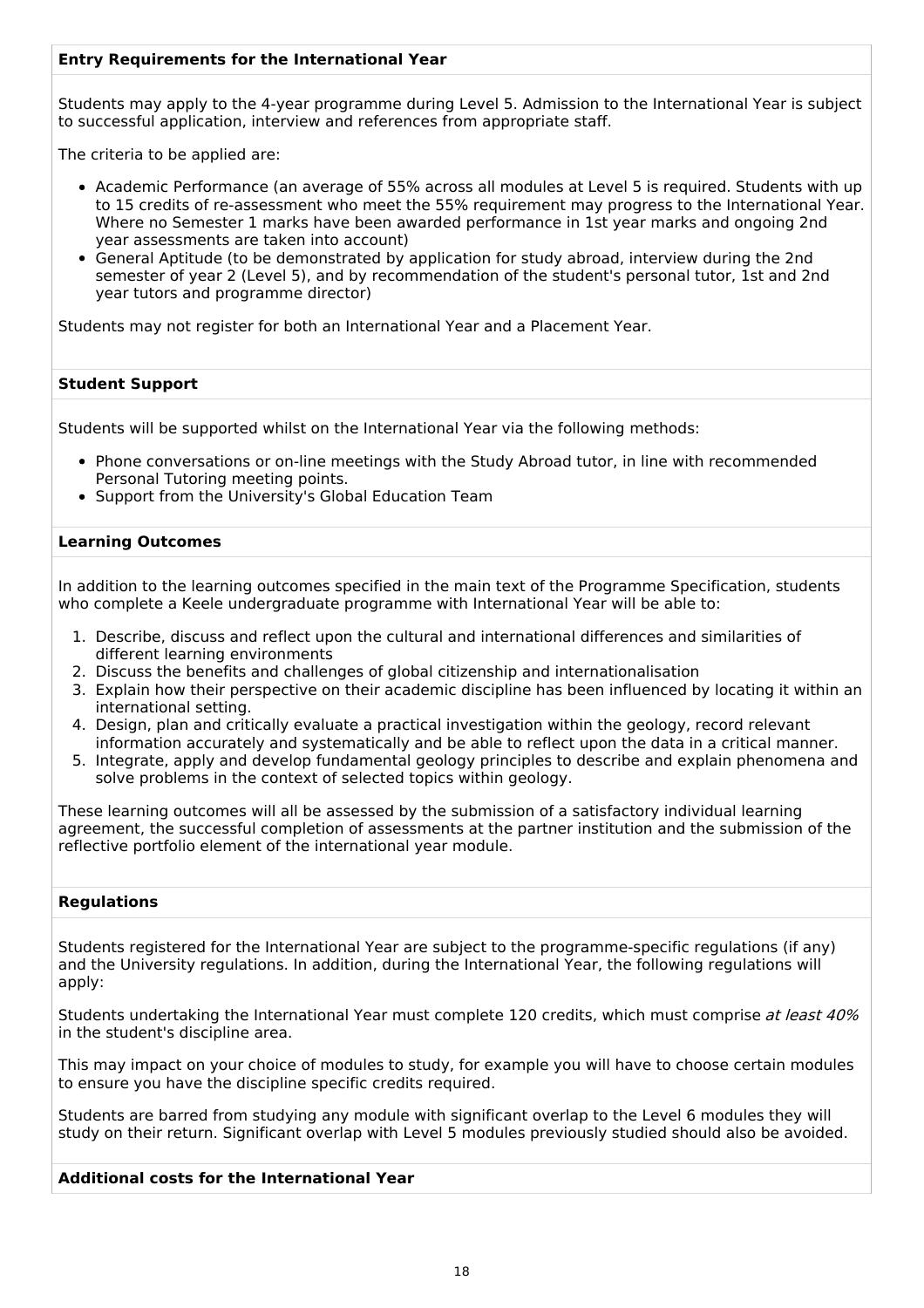### **Entry Requirements for the International Year**

Students may apply to the 4-year programme during Level 5. Admission to the International Year is subject to successful application, interview and references from appropriate staff.

The criteria to be applied are:

- Academic Performance (an average of 55% across all modules at Level 5 is required. Students with up to 15 credits of re-assessment who meet the 55% requirement may progress to the International Year. Where no Semester 1 marks have been awarded performance in 1st year marks and ongoing 2nd year assessments are taken into account)
- General Aptitude (to be demonstrated by application for study abroad, interview during the 2nd semester of year 2 (Level 5), and by recommendation of the student's personal tutor, 1st and 2nd year tutors and programme director)

Students may not register for both an International Year and a Placement Year.

#### **Student Support**

Students will be supported whilst on the International Year via the following methods:

- Phone conversations or on-line meetings with the Study Abroad tutor, in line with recommended Personal Tutoring meeting points.
- Support from the University's Global Education Team

#### **Learning Outcomes**

In addition to the learning outcomes specified in the main text of the Programme Specification, students who complete a Keele undergraduate programme with International Year will be able to:

- 1. Describe, discuss and reflect upon the cultural and international differences and similarities of different learning environments
- 2. Discuss the benefits and challenges of global citizenship and internationalisation
- 3. Explain how their perspective on their academic discipline has been influenced by locating it within an international setting.
- 4. Design, plan and critically evaluate a practical investigation within the geology, record relevant information accurately and systematically and be able to reflect upon the data in a critical manner.
- 5. Integrate, apply and develop fundamental geology principles to describe and explain phenomena and solve problems in the context of selected topics within geology.

These learning outcomes will all be assessed by the submission of a satisfactory individual learning agreement, the successful completion of assessments at the partner institution and the submission of the reflective portfolio element of the international year module.

#### **Regulations**

Students registered for the International Year are subject to the programme-specific regulations (if any) and the University regulations. In addition, during the International Year, the following regulations will apply:

Students undertaking the International Year must complete 120 credits, which must comprise at least 40% in the student's discipline area.

This may impact on your choice of modules to study, for example you will have to choose certain modules to ensure you have the discipline specific credits required.

Students are barred from studying any module with significant overlap to the Level 6 modules they will study on their return. Significant overlap with Level 5 modules previously studied should also be avoided.

#### **Additional costs for the International Year**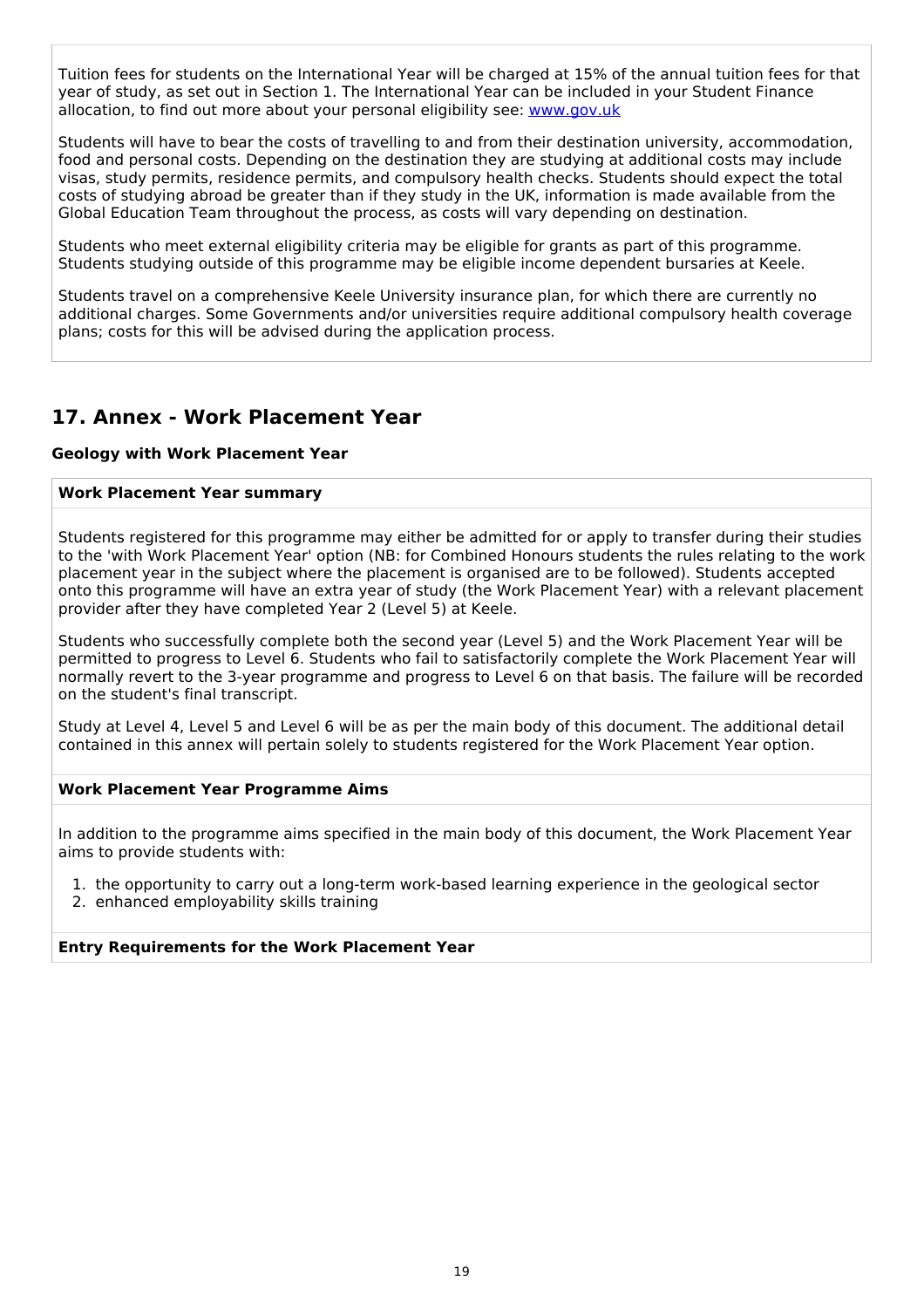Tuition fees for students on the International Year will be charged at 15% of the annual tuition fees for that year of study, as set out in Section 1. The International Year can be included in your Student Finance allocation, to find out more about your personal eligibility see: [www.gov.uk](http://www.gov.uk/)

Students will have to bear the costs of travelling to and from their destination university, accommodation, food and personal costs. Depending on the destination they are studying at additional costs may include visas, study permits, residence permits, and compulsory health checks. Students should expect the total costs of studying abroad be greater than if they study in the UK, information is made available from the Global Education Team throughout the process, as costs will vary depending on destination.

Students who meet external eligibility criteria may be eligible for grants as part of this programme. Students studying outside of this programme may be eligible income dependent bursaries at Keele.

Students travel on a comprehensive Keele University insurance plan, for which there are currently no additional charges. Some Governments and/or universities require additional compulsory health coverage plans; costs for this will be advised during the application process.

## **17. Annex - Work Placement Year**

#### **Geology with Work Placement Year**

#### **Work Placement Year summary**

Students registered for this programme may either be admitted for or apply to transfer during their studies to the 'with Work Placement Year' option (NB: for Combined Honours students the rules relating to the work placement year in the subject where the placement is organised are to be followed). Students accepted onto this programme will have an extra year of study (the Work Placement Year) with a relevant placement provider after they have completed Year 2 (Level 5) at Keele.

Students who successfully complete both the second year (Level 5) and the Work Placement Year will be permitted to progress to Level 6. Students who fail to satisfactorily complete the Work Placement Year will normally revert to the 3-year programme and progress to Level 6 on that basis. The failure will be recorded on the student's final transcript.

Study at Level 4, Level 5 and Level 6 will be as per the main body of this document. The additional detail contained in this annex will pertain solely to students registered for the Work Placement Year option.

#### **Work Placement Year Programme Aims**

In addition to the programme aims specified in the main body of this document, the Work Placement Year aims to provide students with:

1. the opportunity to carry out a long-term work-based learning experience in the geological sector

2. enhanced employability skills training

#### **Entry Requirements for the Work Placement Year**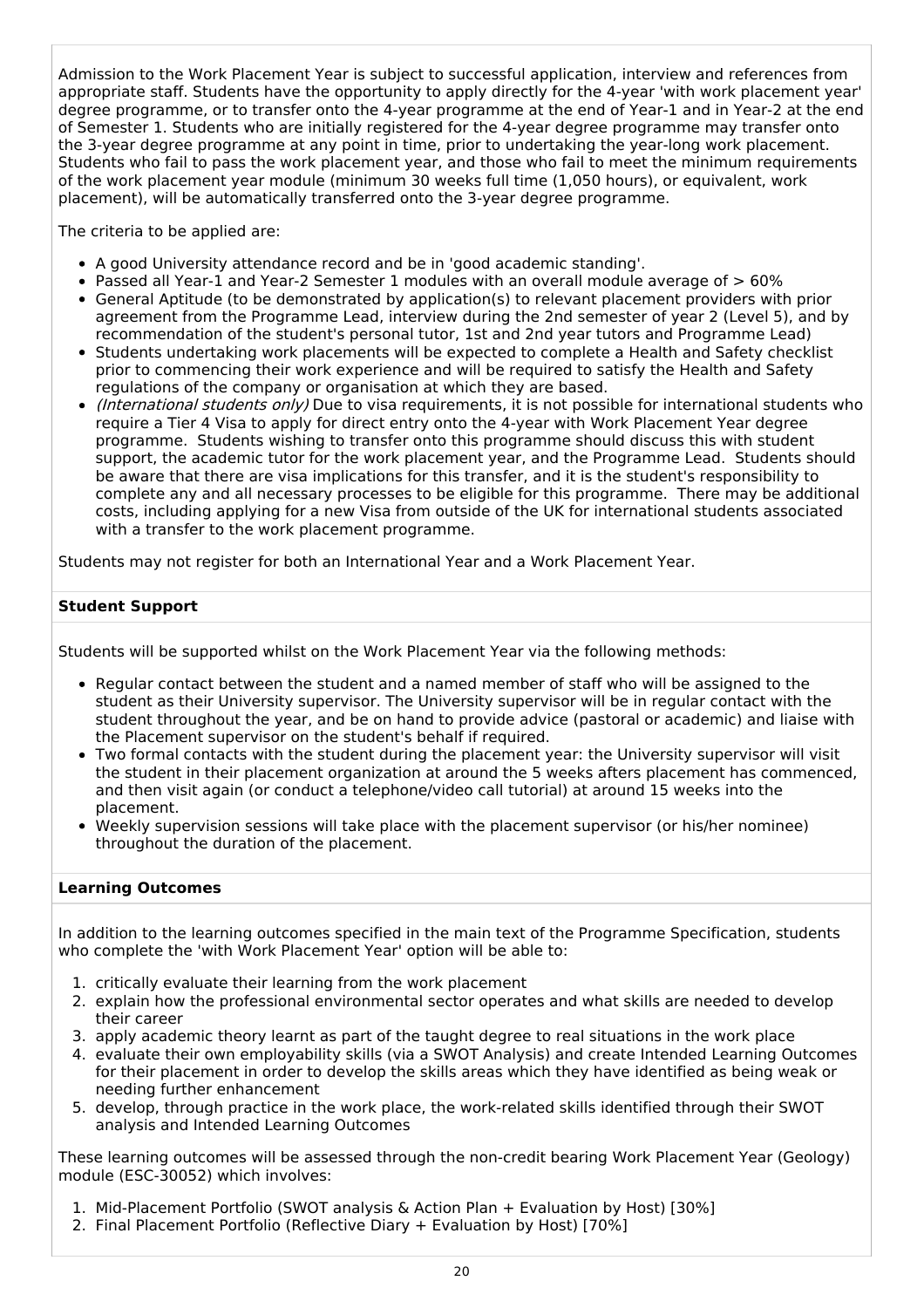Admission to the Work Placement Year is subject to successful application, interview and references from appropriate staff. Students have the opportunity to apply directly for the 4-year 'with work placement year' degree programme, or to transfer onto the 4-year programme at the end of Year-1 and in Year-2 at the end of Semester 1. Students who are initially registered for the 4-year degree programme may transfer onto the 3-year degree programme at any point in time, prior to undertaking the year-long work placement. Students who fail to pass the work placement year, and those who fail to meet the minimum requirements of the work placement year module (minimum 30 weeks full time (1,050 hours), or equivalent, work placement), will be automatically transferred onto the 3-year degree programme.

The criteria to be applied are:

- A good University attendance record and be in 'good academic standing'.
- Passed all Year-1 and Year-2 Semester 1 modules with an overall module average of  $> 60\%$
- General Aptitude (to be demonstrated by application(s) to relevant placement providers with prior agreement from the Programme Lead, interview during the 2nd semester of year 2 (Level 5), and by recommendation of the student's personal tutor, 1st and 2nd year tutors and Programme Lead)
- Students undertaking work placements will be expected to complete a Health and Safety checklist prior to commencing their work experience and will be required to satisfy the Health and Safety regulations of the company or organisation at which they are based.
- *(International students only)* Due to visa requirements, it is not possible for international students who require a Tier 4 Visa to apply for direct entry onto the 4-year with Work Placement Year degree programme. Students wishing to transfer onto this programme should discuss this with student support, the academic tutor for the work placement year, and the Programme Lead. Students should be aware that there are visa implications for this transfer, and it is the student's responsibility to complete any and all necessary processes to be eligible for this programme. There may be additional costs, including applying for a new Visa from outside of the UK for international students associated with a transfer to the work placement programme.

Students may not register for both an International Year and a Work Placement Year.

### **Student Support**

Students will be supported whilst on the Work Placement Year via the following methods:

- Regular contact between the student and a named member of staff who will be assigned to the student as their University supervisor. The University supervisor will be in regular contact with the student throughout the year, and be on hand to provide advice (pastoral or academic) and liaise with the Placement supervisor on the student's behalf if required.
- Two formal contacts with the student during the placement year: the University supervisor will visit the student in their placement organization at around the 5 weeks afters placement has commenced, and then visit again (or conduct a telephone/video call tutorial) at around 15 weeks into the placement.
- Weekly supervision sessions will take place with the placement supervisor (or his/her nominee) throughout the duration of the placement.

#### **Learning Outcomes**

In addition to the learning outcomes specified in the main text of the Programme Specification, students who complete the 'with Work Placement Year' option will be able to:

- 1. critically evaluate their learning from the work placement
- 2. explain how the professional environmental sector operates and what skills are needed to develop their career
- 3. apply academic theory learnt as part of the taught degree to real situations in the work place
- 4. evaluate their own employability skills (via a SWOT Analysis) and create Intended Learning Outcomes for their placement in order to develop the skills areas which they have identified as being weak or needing further enhancement
- 5. develop, through practice in the work place, the work-related skills identified through their SWOT analysis and Intended Learning Outcomes

These learning outcomes will be assessed through the non-credit bearing Work Placement Year (Geology) module (ESC-30052) which involves:

- 1. Mid-Placement Portfolio (SWOT analysis & Action Plan + Evaluation by Host) [30%]
- 2. Final Placement Portfolio (Reflective Diary + Evaluation by Host) [70%]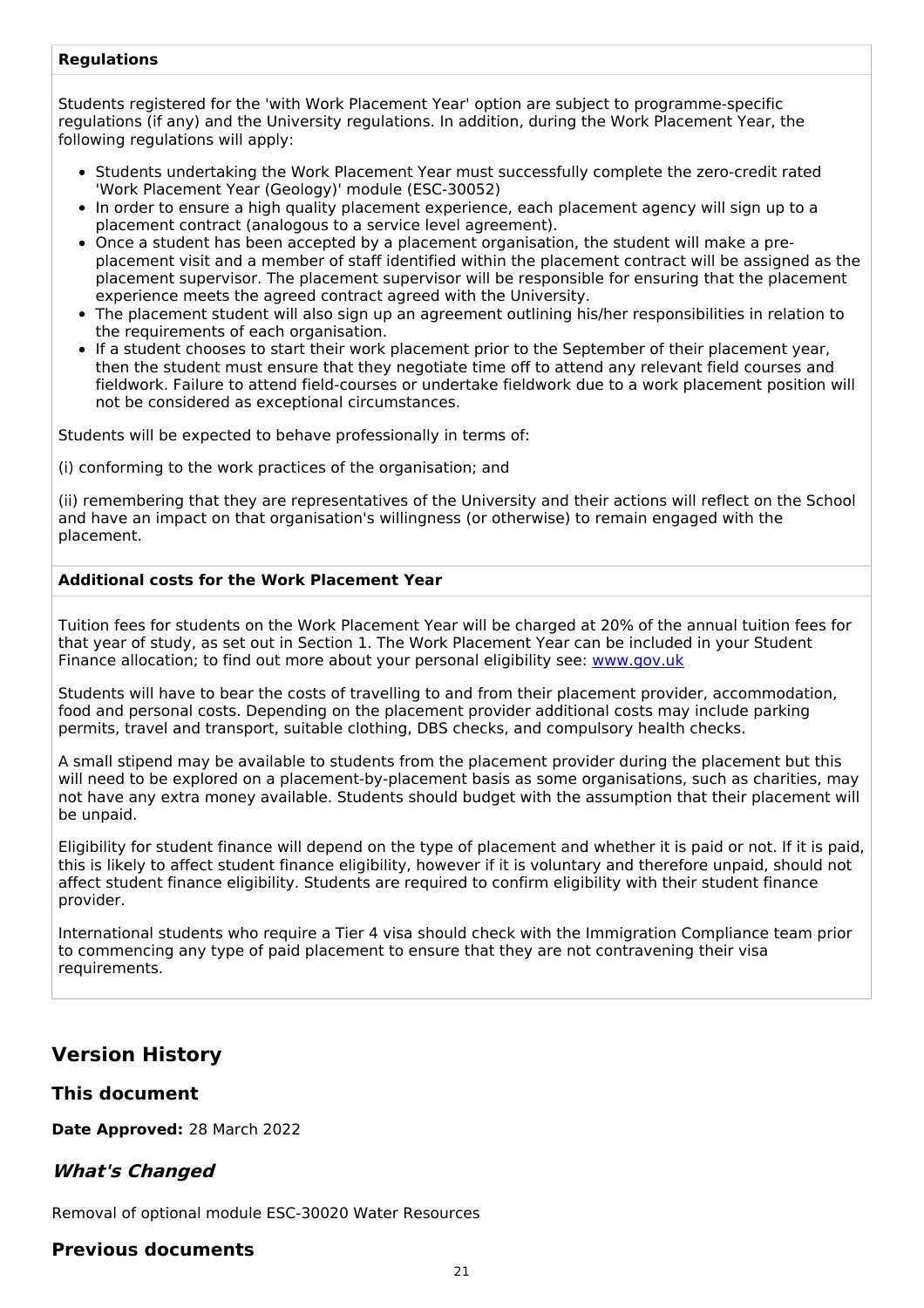#### **Regulations**

Students registered for the 'with Work Placement Year' option are subject to programme-specific regulations (if any) and the University regulations. In addition, during the Work Placement Year, the following regulations will apply:

- Students undertaking the Work Placement Year must successfully complete the zero-credit rated 'Work Placement Year (Geology)' module (ESC-30052)
- In order to ensure a high quality placement experience, each placement agency will sign up to a placement contract (analogous to a service level agreement).
- Once a student has been accepted by a placement organisation, the student will make a preplacement visit and a member of staff identified within the placement contract will be assigned as the placement supervisor. The placement supervisor will be responsible for ensuring that the placement experience meets the agreed contract agreed with the University.
- The placement student will also sign up an agreement outlining his/her responsibilities in relation to the requirements of each organisation.
- If a student chooses to start their work placement prior to the September of their placement year, then the student must ensure that they negotiate time off to attend any relevant field courses and fieldwork. Failure to attend field-courses or undertake fieldwork due to a work placement position will not be considered as exceptional circumstances.

Students will be expected to behave professionally in terms of:

(i) conforming to the work practices of the organisation; and

(ii) remembering that they are representatives of the University and their actions will reflect on the School and have an impact on that organisation's willingness (or otherwise) to remain engaged with the placement.

#### **Additional costs for the Work Placement Year**

Tuition fees for students on the Work Placement Year will be charged at 20% of the annual tuition fees for that year of study, as set out in Section 1. The Work Placement Year can be included in your Student Finance allocation; to find out more about your personal eligibility see: [www.gov.uk](http://www.gov.uk/)

Students will have to bear the costs of travelling to and from their placement provider, accommodation, food and personal costs. Depending on the placement provider additional costs may include parking permits, travel and transport, suitable clothing, DBS checks, and compulsory health checks.

A small stipend may be available to students from the placement provider during the placement but this will need to be explored on a placement-by-placement basis as some organisations, such as charities, may not have any extra money available. Students should budget with the assumption that their placement will be unpaid.

Eligibility for student finance will depend on the type of placement and whether it is paid or not. If it is paid, this is likely to affect student finance eligibility, however if it is voluntary and therefore unpaid, should not affect student finance eligibility. Students are required to confirm eligibility with their student finance provider.

International students who require a Tier 4 visa should check with the Immigration Compliance team prior to commencing any type of paid placement to ensure that they are not contravening their visa requirements.

## **Version History**

### **This document**

**Date Approved:** 28 March 2022

## **What's Changed**

Removal of optional module ESC-30020 Water Resources

### **Previous documents**